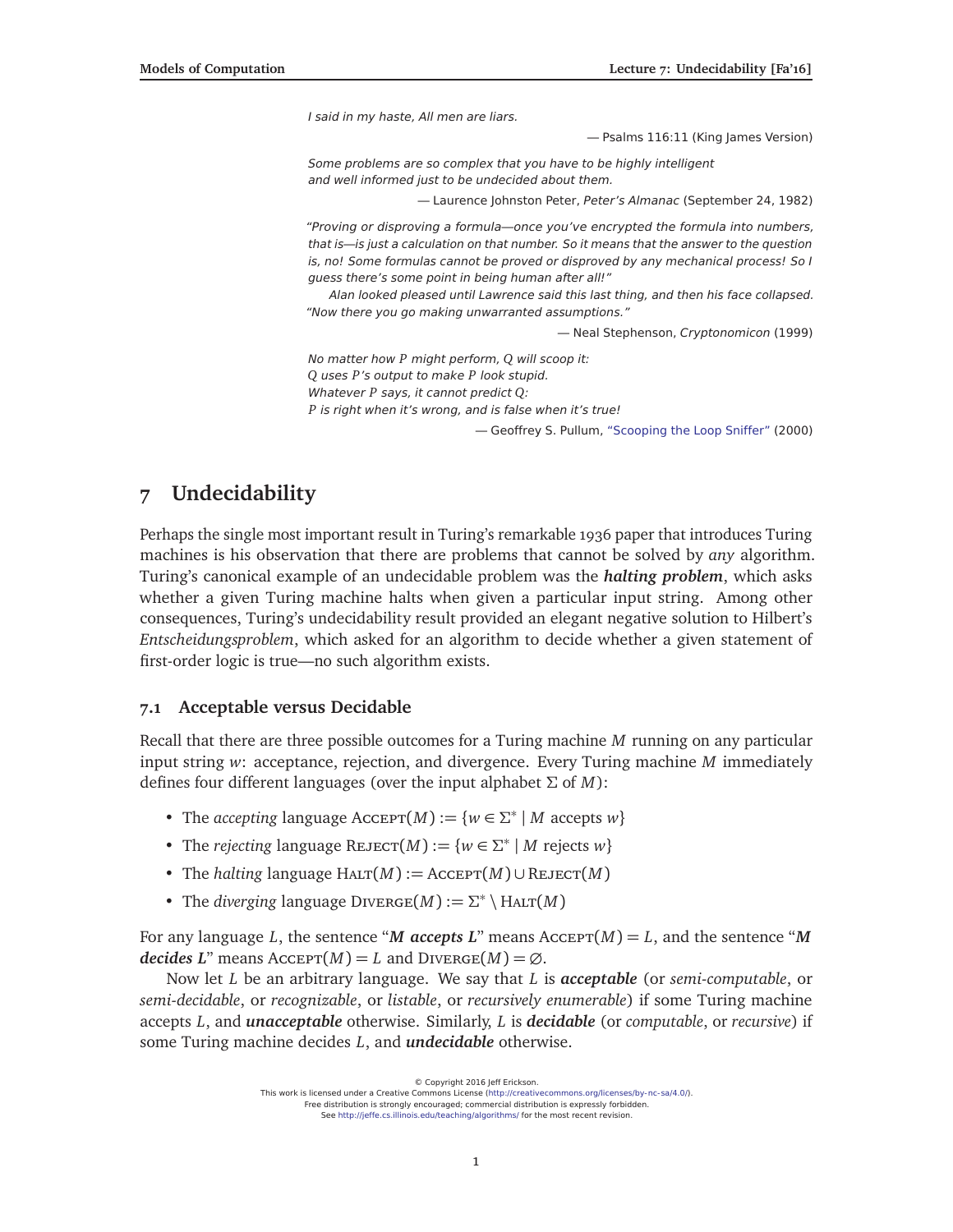I said in my haste, All men are liars.

— Psalms 116:11 (King James Version)

Some problems are so complex that you have to be highly intelligent and well informed just to be undecided about them.

— Laurence Johnston Peter, Peter's Almanac (September 24, 1982)

"Proving or disproving a formula—once you've encrypted the formula into numbers, that is—is just a calculation on that number. So it means that the answer to the question is, no! Some formulas cannot be proved or disproved by any mechanical process! So I guess there's some point in being human after all!"

Alan looked pleased until Lawrence said this last thing, and then his face collapsed. "Now there you go making unwarranted assumptions."

— Neal Stephenson, Cryptonomicon (1999)

No matter how *P* might perform, *Q* will scoop it: *Q* uses *P*'s output to make *P* look stupid. Whatever *P* says, it cannot predict *Q*: *P* is right when it's wrong, and is false when it's true!

— Geoffrey S. Pullum, ["Scooping the Loop Sniffer"](http://www.lel.ed.ac.uk/~gpullum/loopsnoop.html) (2000)

# **7 Undecidability**

Perhaps the single most important result in Turing's remarkable 1936 paper that introduces Turing machines is his observation that there are problems that cannot be solved by *any* algorithm. Turing's canonical example of an undecidable problem was the *halting problem*, which asks whether a given Turing machine halts when given a particular input string. Among other consequences, Turing's undecidability result provided an elegant negative solution to Hilbert's *Entscheidungsproblem*, which asked for an algorithm to decide whether a given statement of first-order logic is true—no such algorithm exists.

#### **7.1 Acceptable versus Decidable**

Recall that there are three possible outcomes for a Turing machine *M* running on any particular input string *w*: acceptance, rejection, and divergence. Every Turing machine *M* immediately defines four different languages (over the input alphabet *Σ* of *M*):

- The *accepting* language  $\text{AccEPT}(M) := \{w \in \Sigma^* \mid M \text{ accepts } w\}$
- The *rejecting* language  $\text{REJECT}(M) := \{w \in \Sigma^* \mid M \text{ rejects } w\}$
- The *halting* language  $H = A \text{C} \text{C} \text{E} \text{P} \text{T} \text{M}$   $\cup$  Reject(*M*)
- The *diverging* language  $DIVERGE(M) := \sum^* \setminus \text{HALT}(M)$

For any language L, the sentence "*M accepts* L" means  $\text{AccEPT}(M) = L$ , and the sentence "*M decides L*" means  $\text{ACCEPT}(M) = L$  and  $\text{DIVERGE}(M) = \emptyset$ .

Now let *L* be an arbitrary language. We say that *L* is *acceptable* (or *semi-computable*, or *semi-decidable*, or *recognizable*, or *listable*, or *recursively enumerable*) if some Turing machine accepts *L*, and *unacceptable* otherwise. Similarly, *L* is *decidable* (or *computable*, or *recursive*) if some Turing machine decides *L*, and *undecidable* otherwise.

© Copyright 2016 Jeff Erickson.

This work is licensed under a Creative Commons License [\(http://creativecommons.org/licenses/by-nc-sa/4.0/\)](http://creativecommons.org/licenses/by-nc-sa/4.0/). Free distribution is strongly encouraged; commercial distribution is expressly forbidden See <http://jeffe.cs.illinois.edu/teaching/algorithms/> for the most recent revision.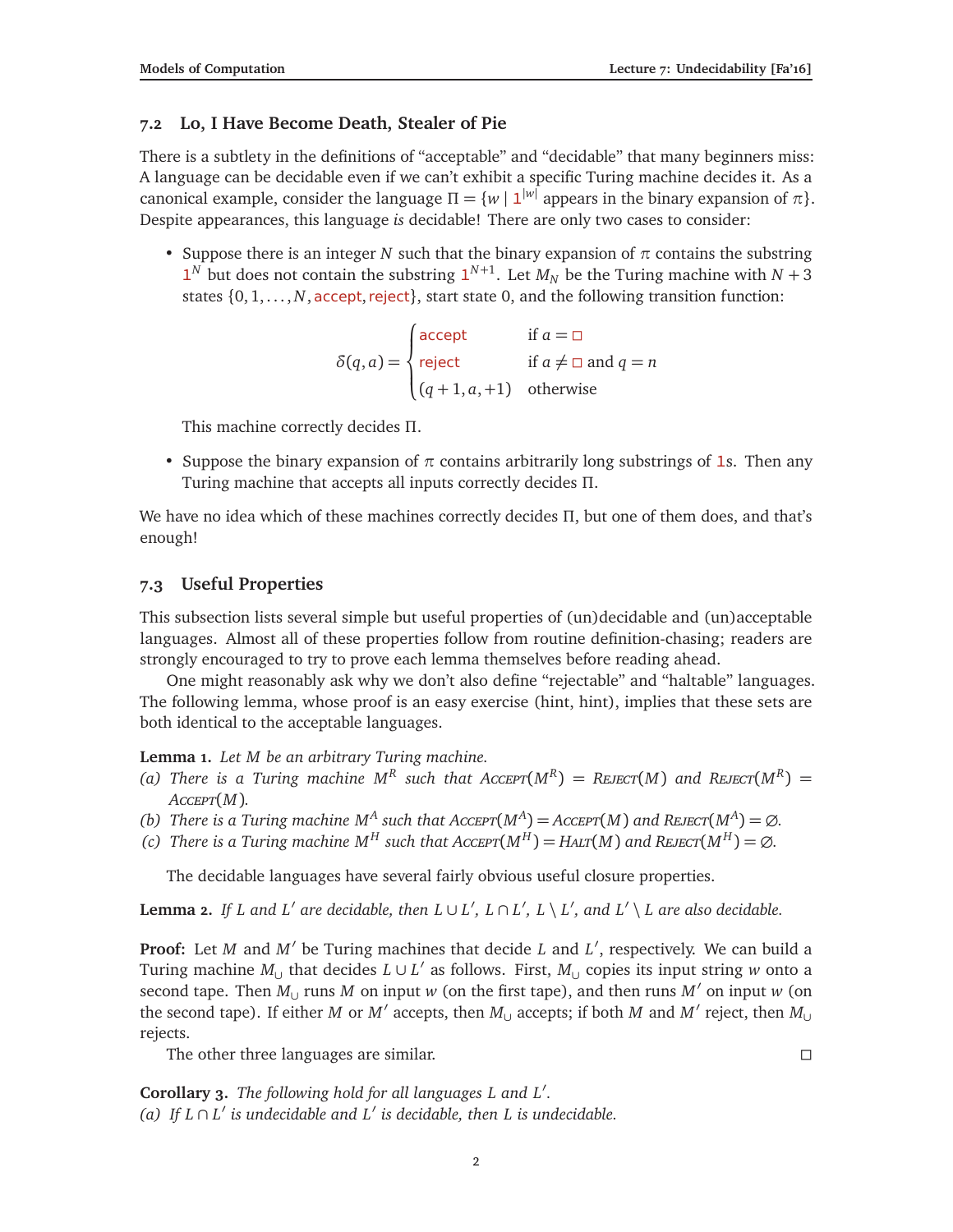#### **7.2 Lo, I Have Become Death, Stealer of Pie**

There is a subtlety in the definitions of "acceptable" and "decidable" that many beginners miss: A language can be decidable even if we can't exhibit a specific Turing machine decides it. As a canonical example, consider the language  $\Pi = \{w \mid \mathbf{1}^{|w|}$  appears in the binary expansion of  $\pi\}$ . Despite appearances, this language *is* decidable! There are only two cases to consider:

• Suppose there is an integer *N* such that the binary expansion of  $\pi$  contains the substring  $1^N$  but does not contain the substring  $1^{N+1}$ . Let  $M_N$  be the Turing machine with  $N+3$ states  $\{0, 1, \ldots, N\}$ , accept, reject}, start state 0, and the following transition function:

$$
\delta(q, a) = \begin{cases}\n\text{accept} & \text{if } a = \Box \\
\text{reject} & \text{if } a \neq \Box \text{ and } q = n \\
(q + 1, a, +1) & \text{otherwise}\n\end{cases}
$$

This machine correctly decides *Π*.

• Suppose the binary expansion of  $\pi$  contains arbitrarily long substrings of 1s. Then any Turing machine that accepts all inputs correctly decides *Π*.

We have no idea which of these machines correctly decides *Π*, but one of them does, and that's enough!

### **7.3 Useful Properties**

This subsection lists several simple but useful properties of (un)decidable and (un)acceptable languages. Almost all of these properties follow from routine definition-chasing; readers are strongly encouraged to try to prove each lemma themselves before reading ahead.

One might reasonably ask why we don't also define "rejectable" and "haltable" languages. The following lemma, whose proof is an easy exercise (hint, hint), implies that these sets are both identical to the acceptable languages.

**Lemma 1.** *Let M be an arbitrary Turing machine.*

- *(a) There is a Turing machine*  $M^R$  *such that*  $ACCEPT(M^R) = REJECT(M)$  *and*  $REJECT(M^R) =$ *Accept*(*M*)*.*
- *(b) There is a Turing machine*  $M^A$  *such that*  $ACCEPT(M^A) = AccEPT(M)$  *and*  $REJECT(M^A) = \emptyset$ *.*
- *(c) There is a Turing machine*  $M^H$  *such that*  $ACCEPT(M^H) = HALT(M)$  *and*  $REJECT(M^H) = \emptyset$ *.*

The decidable languages have several fairly obvious useful closure properties.

**Lemma 2.** If L and L' are decidable, then  $L \cup L'$ ,  $L \cap L'$ ,  $L \setminus L'$ , and  $L' \setminus L$  are also decidable.

**Proof:** Let *M* and *M'* be Turing machines that decide *L* and *L'*, respectively. We can build a Turing machine *M*<sup>∪</sup> that decides *L* ∪ *L* 0 as follows. First, *M*∪ copies its input string *w* onto a second tape. Then  $M_{\text{U}}$  runs M on input *w* (on the first tape), and then runs  $M'$  on input *w* (on the second tape). If either *M* or *M'* accepts, then  $M_{\cup}$  accepts; if both *M* and *M'* reject, then  $M_{\cup}$ rejects.

The other three languages are similar.

**Corollary 3.** *The following hold for all languages L and L* 0 *.* (a) If  $L \cap L'$  is undecidable and  $L'$  is decidable, then  $L$  is undecidable.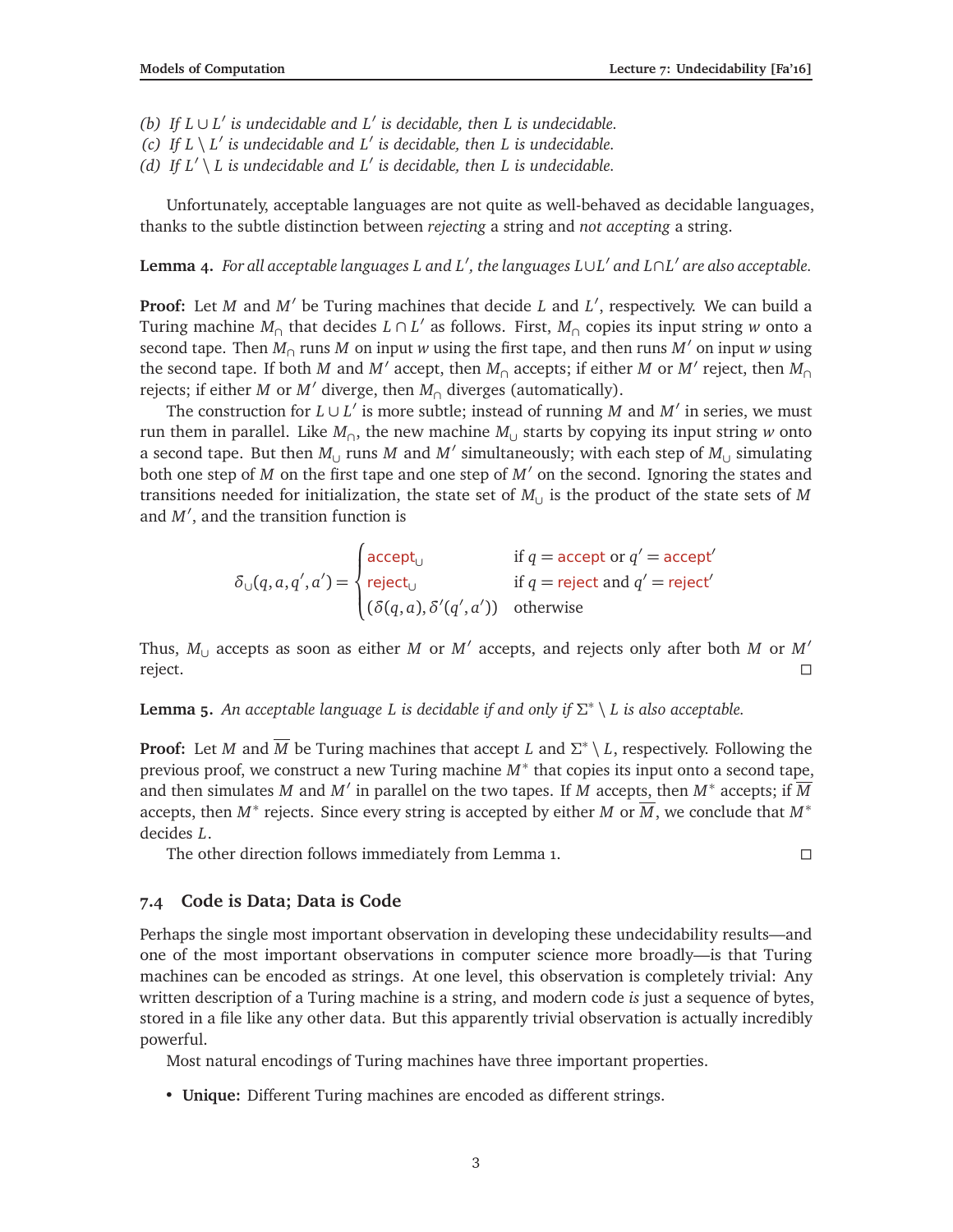- (b) If  $L \cup L'$  is undecidable and  $L'$  is decidable, then  $L$  is undecidable.
- *(c)* If  $L \setminus L'$  is undecidable and  $L'$  is decidable, then  $L$  is undecidable.
- (d) If  $L' \setminus L$  is undecidable and  $L'$  is decidable, then  $L$  is undecidable.

Unfortunately, acceptable languages are not quite as well-behaved as decidable languages, thanks to the subtle distinction between *rejecting* a string and *not accepting* a string.

**Lemma 4.** *For all acceptable languages L and L* 0 *, the languages L*∪*L* 0 *and L*∩*L* 0 *are also acceptable.*

**Proof:** Let *M* and *M'* be Turing machines that decide *L* and *L'*, respectively. We can build a Turing machine *M*<sup>∩</sup> that decides *L* ∩ *L* 0 as follows. First, *M*∩ copies its input string *w* onto a second tape. Then  $M_{\Omega}$  runs  $M$  on input  $w$  using the first tape, and then runs  $M'$  on input  $w$  using the second tape. If both *M* and *M'* accept, then *M*<sub>∩</sub> accepts; if either *M* or *M'* reject, then *M*<sub>∩</sub> rejects; if either *M* or *M'* diverge, then  $M_{\Omega}$  diverges (automatically).

The construction for  $L \cup L'$  is more subtle; instead of running *M* and *M'* in series, we must run them in parallel. Like *M*∩, the new machine *M*∪ starts by copying its input string *w* onto a second tape. But then  $M_{\cup}$  runs  $M$  and  $M'$  simultaneously; with each step of  $M_{\cup}$  simulating both one step of *M* on the first tape and one step of  $M'$  on the second. Ignoring the states and transitions needed for initialization, the state set of *M*∪ is the product of the state sets of *M* and  $M'$ , and the transition function is

$$
\delta_{\cup}(q, a, q', a') = \begin{cases}\n\text{accept}_{\cup} & \text{if } q = \text{accept or } q' = \text{accept}' \\
\text{reject}_{\cup} & \text{if } q = \text{reject} \text{ and } q' = \text{reject}' \\
(\delta(q, a), \delta'(q', a')) & \text{otherwise}\n\end{cases}
$$

Thus,  $M_{\cup}$  accepts as soon as either *M* or *M'* accepts, and rejects only after both *M* or *M'* reject.  $\square$ 

**Lemma 5.** *An acceptable language L is decidable if and only if Σ* ∗ \ *L is also acceptable.*

**Proof:** Let *M* and *M* be Turing machines that accept *L* and *Σ* ∗ \ *L*, respectively. Following the previous proof, we construct a new Turing machine *M*<sup>∗</sup> that copies its input onto a second tape, and then simulates *M* and *M'* in parallel on the two tapes. If *M* accepts, then *M*<sup>∗</sup> accepts; if  $\overline{M}$ accepts, then *M*<sup>∗</sup> rejects. Since every string is accepted by either *M* or *M*, we conclude that *M*<sup>∗</sup> decides *L*.

The other direction follows immediately from Lemma 1.

#### **7.4 Code is Data; Data is Code**

Perhaps the single most important observation in developing these undecidability results—and one of the most important observations in computer science more broadly—is that Turing machines can be encoded as strings. At one level, this observation is completely trivial: Any written description of a Turing machine is a string, and modern code *is* just a sequence of bytes, stored in a file like any other data. But this apparently trivial observation is actually incredibly powerful.

Most natural encodings of Turing machines have three important properties.

• **Unique:** Different Turing machines are encoded as different strings.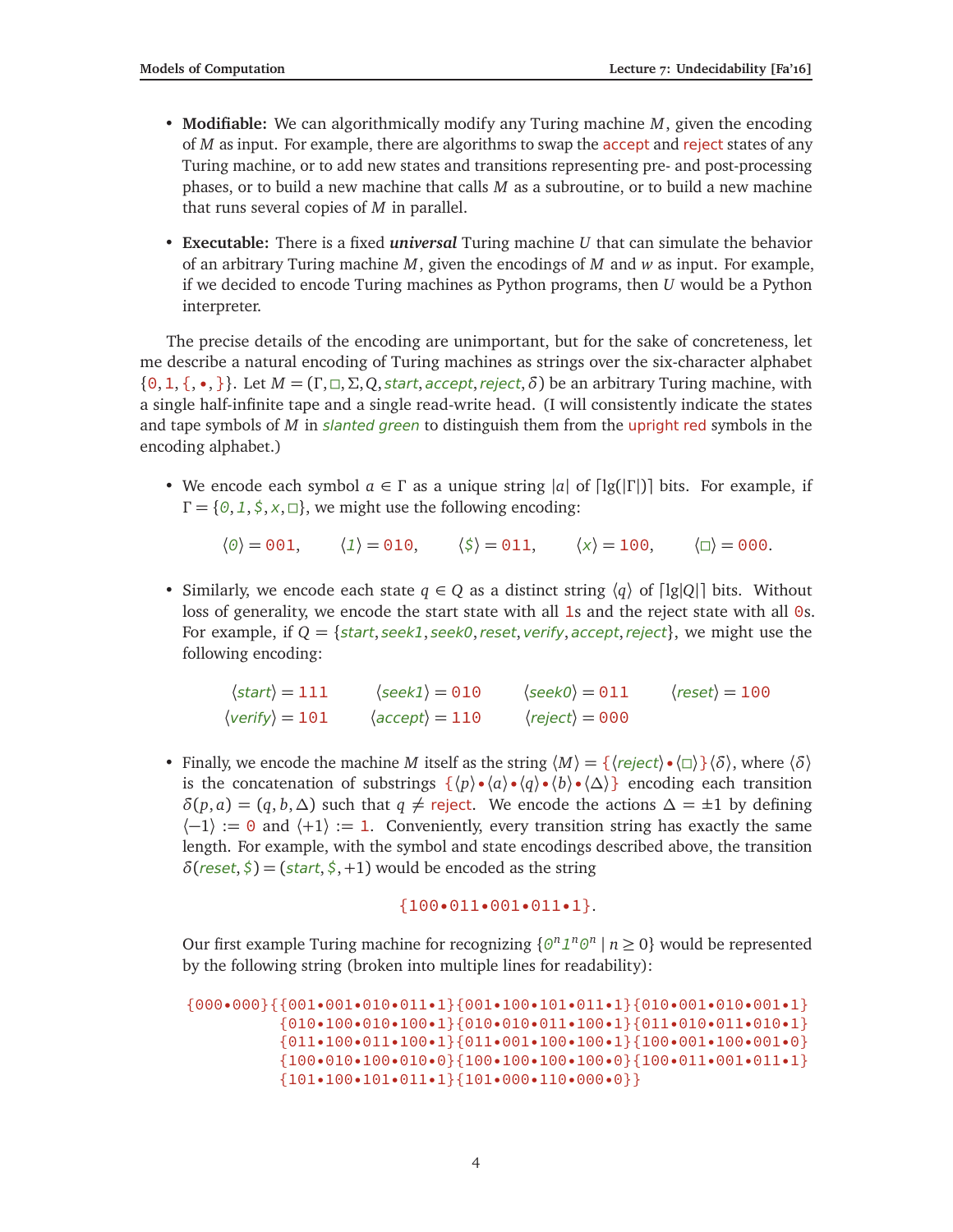- **Modifiable:** We can algorithmically modify any Turing machine *M*, given the encoding of *M* as input. For example, there are algorithms to swap the accept and reject states of any Turing machine, or to add new states and transitions representing pre- and post-processing phases, or to build a new machine that calls *M* as a subroutine, or to build a new machine that runs several copies of *M* in parallel.
- **Executable:** There is a fixed *universal* Turing machine *U* that can simulate the behavior of an arbitrary Turing machine *M*, given the encodings of *M* and *w* as input. For example, if we decided to encode Turing machines as Python programs, then *U* would be a Python interpreter.

The precise details of the encoding are unimportant, but for the sake of concreteness, let me describe a natural encoding of Turing machines as strings over the six-character alphabet {0,1,{,•,}}. Let *<sup>M</sup>* = (*<sup>Γ</sup>* , ,*Σ*,*Q*, start, accept, reject,*δ*) be an arbitrary Turing machine, with a single half-infinite tape and a single read-write head. (I will consistently indicate the states and tape symbols of *M* in slanted green to distinguish them from the upright red symbols in the encoding alphabet.)

• We encode each symbol  $a \in \Gamma$  as a unique string |*a*| of  $\lceil \lg(|\Gamma|) \rceil$  bits. For example, if  $\Gamma = \{0, 1, \xi, x, \Box\}$ , we might use the following encoding:

 $\langle 0 \rangle = 001,$   $\langle 1 \rangle = 010,$   $\langle \xi \rangle = 011,$   $\langle x \rangle = 100,$   $\langle \Box \rangle = 000.$ 

• Similarly, we encode each state  $q \in Q$  as a distinct string  $\langle q \rangle$  of  $\lceil \lg|Q| \rceil$  bits. Without loss of generality, we encode the start state with all 1s and the reject state with all 0s. For example, if *Q* = {start, seek1, seek0, reset, verify, accept, reject}, we might use the following encoding:

 $\langle start \rangle = 111$   $\langle seek1 \rangle = 010$   $\langle seek0 \rangle = 011$   $\langle reset \rangle = 100$  $\langle verify \rangle = 101$   $\langle accept \rangle = 110$   $\langle reject \rangle = 000$ 

• Finally, we encode the machine *M* itself as the string  $\langle M \rangle = \{ \langle reject \rangle \bullet \langle \Box \rangle \} \langle \delta \rangle$ , where  $\langle \delta \rangle$ is the concatenation of substrings  $\{ \langle p \rangle \bullet \langle a \rangle \bullet \langle q \rangle \bullet \langle b \rangle \bullet \langle \Delta \rangle \}$  encoding each transition  $\delta(p, a) = (q, b, \Delta)$  such that  $q \neq$  reject. We encode the actions  $\Delta = \pm 1$  by defining  $\langle -1 \rangle := 0$  and  $\langle +1 \rangle := 1$ . Conveniently, every transition string has exactly the same length. For example, with the symbol and state encodings described above, the transition  $\delta$ (*reset*, *\$*) = (*start*, *\$*, +1) would be encoded as the string

{100•011•001•011•1}.

Our first example Turing machine for recognizing  $\{0^n 1^n 0^n \mid n \ge 0\}$  would be represented by the following string (broken into multiple lines for readability):

```
{000 \cdot 000}{{001 \cdot 001 \cdot 001 \cdot 010 \cdot 011 \cdot 1}{001 \cdot 100 \cdot 101 \cdot 011 \cdot 1}{010 \cdot 001 \cdot 010 \cdot 001 \cdot 1}}
                   {010\cdot 100\cdot 010\cdot 100\cdot 1}{010\cdot 010\cdot 010\cdot 010\cdot 011\cdot 100\cdot 1}{011\cdot 010\cdot 011\cdot 010\cdot 1}{011\cdot 100\cdot 011\cdot 100\cdot 1}{011\cdot 001\cdot 100\cdot 100\cdot 1}{100\cdot 001\cdot 100\cdot 001\cdot 0}{100\cdot 010\cdot 100\cdot 010\cdot 0}{100\cdot 100\cdot 100\cdot 100\cdot 0}}{100\cdot 011\cdot 001\cdot 011\cdot 1}{101•100•101•011•1}{101•000•110•000•0}}
```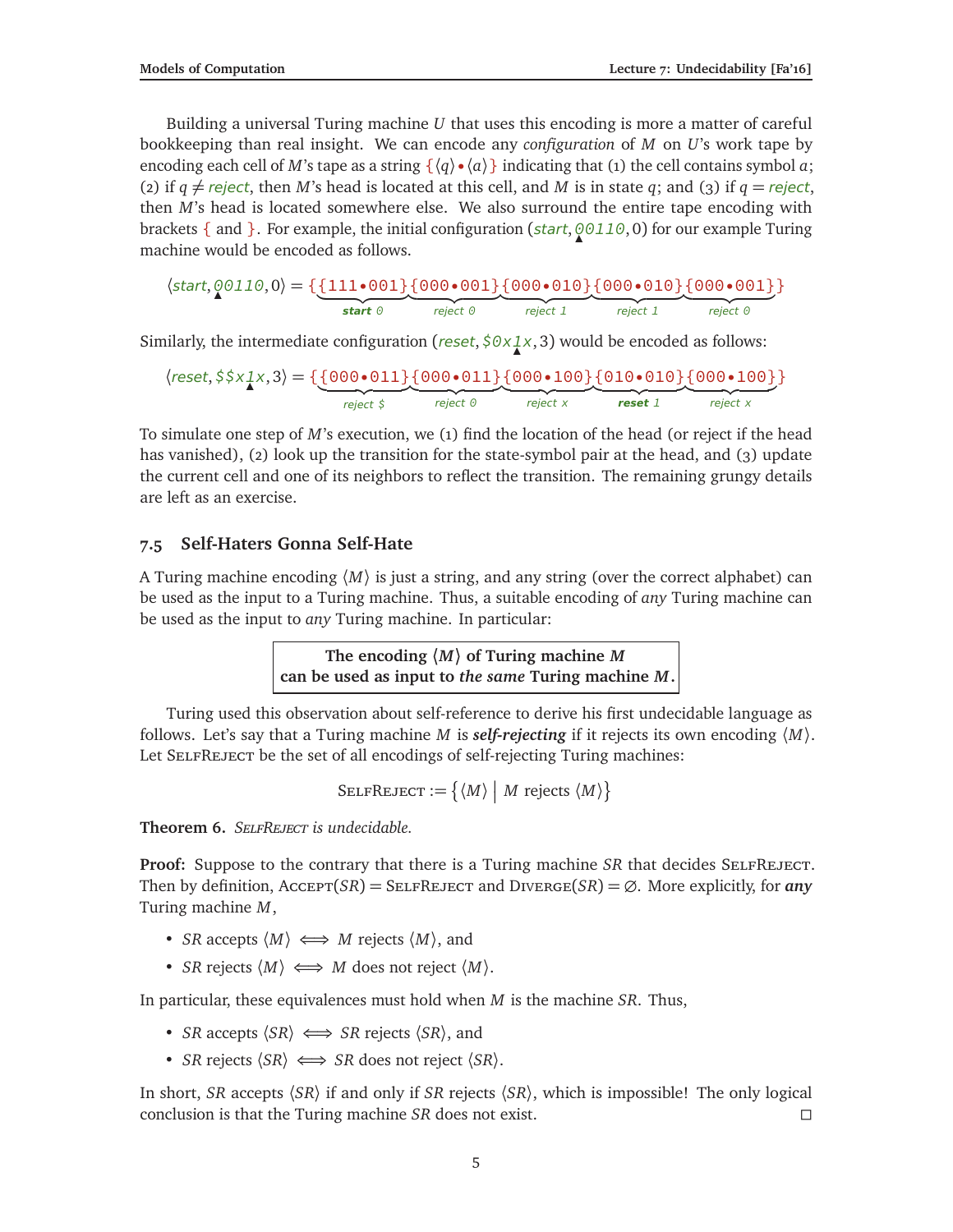Building a universal Turing machine *U* that uses this encoding is more a matter of careful bookkeeping than real insight. We can encode any *configuration* of *M* on *U*'s work tape by encoding each cell of *M*'s tape as a string  $\{\langle q \rangle \bullet \langle a \rangle\}$  indicating that (1) the cell contains symbol *a*; (2) if  $q \neq$  reject, then *M*'s head is located at this cell, and *M* is in state *q*; and (3) if  $q =$  reject, then *M*'s head is located somewhere else. We also surround the entire tape encoding with brackets { and }. For example, the initial configuration (start, 00110, 0) for our example Turing machine would be encoded as follows.

$$
\langle start, \underbrace{00110, 0\rangle = \{\underbrace{\{111\bullet 001\}\{000\bullet 001\}\{000\bullet 010\}\{000\bullet 010\}\{000\bullet 001\}}_{reject\ \theta} \} }_{reject\ \theta}
$$

Similarly, the intermediate configuration (*reset*,  $\Diamond$ *o*  $\bot$ *x*, 3) would be encoded as follows:

$$
\langle \textit{reset}, \textit{S} \rangle \langle \textit{X}, \textit{X} \rangle = \{\underbrace{\{000 \bullet 011\}, \{000 \bullet 011\}, \{000 \bullet 100\}, \{010 \bullet 010\}, \{000 \bullet 100\} }_{\textit{reject } \textit{X}}\} \}
$$

To simulate one step of *M*'s execution, we (1) find the location of the head (or reject if the head has vanished), (2) look up the transition for the state-symbol pair at the head, and (3) update the current cell and one of its neighbors to reflect the transition. The remaining grungy details are left as an exercise.

### **7.5 Self-Haters Gonna Self-Hate**

A Turing machine encoding  $\langle M \rangle$  is just a string, and any string (over the correct alphabet) can be used as the input to a Turing machine. Thus, a suitable encoding of *any* Turing machine can be used as the input to *any* Turing machine. In particular:

> **The encoding 〈***M***〉 of Turing machine** *M* **can be used as input to** *the same* **Turing machine** *M***.**

Turing used this observation about self-reference to derive his first undecidable language as follows. Let's say that a Turing machine *M* is *self-rejecting* if it rejects its own encoding  $\langle M \rangle$ . Let SELFREJECT be the set of all encodings of self-rejecting Turing machines:

SELFREJECT :=  $\{ \langle M \rangle \mid M \text{ rejects } \langle M \rangle \}$ 

**Theorem 6.** *SelfReject is undecidable.*

**Proof:** Suppose to the contrary that there is a Turing machine *SR* that decides SELFREJECT. Then by definition,  $AccEPT(SR) = SELFREJECT$  and  $DIVERGE(SR) = \emptyset$ . More explicitly, for *any* Turing machine *M*,

- *SR* accepts  $\langle M \rangle \iff M$  rejects  $\langle M \rangle$ , and
- *SR* rejects  $\langle M \rangle \iff M$  does not reject  $\langle M \rangle$ .

In particular, these equivalences must hold when *M* is the machine *SR*. Thus,

- *SR* accepts 〈*SR*〉 ⇐⇒ *SR* rejects 〈*SR*〉, and
- *SR* rejects  $\langle SR \rangle \iff SR$  does not reject  $\langle SR \rangle$ .

In short, *SR* accepts 〈*SR*〉 if and only if *SR* rejects 〈*SR*〉, which is impossible! The only logical conclusion is that the Turing machine *SR* does not exist.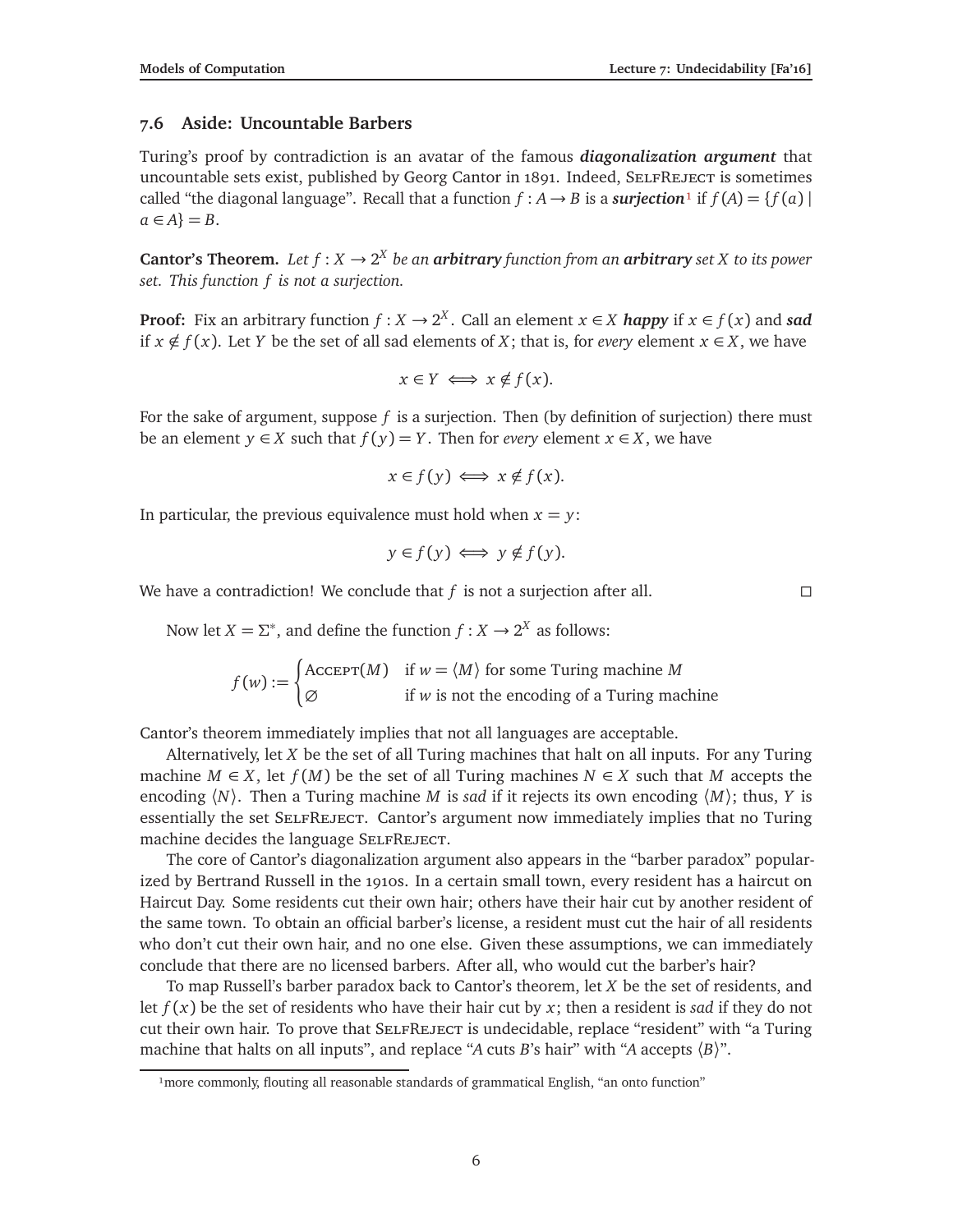#### **7.6 Aside: Uncountable Barbers**

Turing's proof by contradiction is an avatar of the famous *diagonalization argument* that uncountable sets exist, published by Georg Cantor in 1891. Indeed, SELFREJECT is sometimes called "the diagonal language". Recall that a function  $f : A \rightarrow B$  is a *surjection*<sup>1</sup> if  $f(A) = \{f(a) |$  $a \in A$ } = *B*.

**Cantor's Theorem.** Let  $f: X \to 2^X$  be an **arbitrary** function from an **arbitrary** set *X* to its power *set. This function f is not a surjection.*

**Proof:** Fix an arbitrary function  $f : X \to 2^X$ . Call an element  $x \in X$  *happy* if  $x \in f(x)$  and *sad* if *x* ∉ *f* (*x*). Let *Y* be the set of all sad elements of *X*; that is, for *every* element *x* ∈ *X*, we have

$$
x \in Y \iff x \notin f(x).
$$

For the sake of argument, suppose *f* is a surjection. Then (by definition of surjection) there must be an element  $y \in X$  such that  $f(y) = Y$ . Then for *every* element  $x \in X$ , we have

$$
x \in f(y) \iff x \notin f(x).
$$

In particular, the previous equivalence must hold when  $x = y$ :

$$
y \in f(y) \iff y \notin f(y).
$$

We have a contradiction! We conclude that *f* is not a surjection after all.  $\Box$ 

Now let *X* =  $\Sigma^*$ , and define the function *f* : *X*  $\rightarrow$  2<sup>*X*</sup> as follows:

$$
f(w) := \begin{cases} \text{Accept}(M) & \text{if } w = \langle M \rangle \text{ for some Turing machine } M \\ \varnothing & \text{if } w \text{ is not the encoding of a Turing machine} \end{cases}
$$

Cantor's theorem immediately implies that not all languages are acceptable.

Alternatively, let *X* be the set of all Turing machines that halt on all inputs. For any Turing machine *M* ∈ *X*, let *f* (*M*) be the set of all Turing machines *N* ∈ *X* such that *M* accepts the encoding  $\langle N \rangle$ . Then a Turing machine *M* is sad if it rejects its own encoding  $\langle M \rangle$ ; thus, *Y* is essentially the set SELFREJECT. Cantor's argument now immediately implies that no Turing machine decides the language SELFREJECT.

The core of Cantor's diagonalization argument also appears in the "barber paradox" popularized by Bertrand Russell in the 1910s. In a certain small town, every resident has a haircut on Haircut Day. Some residents cut their own hair; others have their hair cut by another resident of the same town. To obtain an official barber's license, a resident must cut the hair of all residents who don't cut their own hair, and no one else. Given these assumptions, we can immediately conclude that there are no licensed barbers. After all, who would cut the barber's hair?

To map Russell's barber paradox back to Cantor's theorem, let *X* be the set of residents, and let  $f(x)$  be the set of residents who have their hair cut by x; then a resident is *sad* if they do not cut their own hair. To prove that SELFREJECT is undecidable, replace "resident" with "a Turing machine that halts on all inputs", and replace "*A* cuts *B*'s hair" with "*A* accepts 〈*B*〉".

<span id="page-5-0"></span> $\mu$ more commonly, flouting all reasonable standards of grammatical English, "an onto function"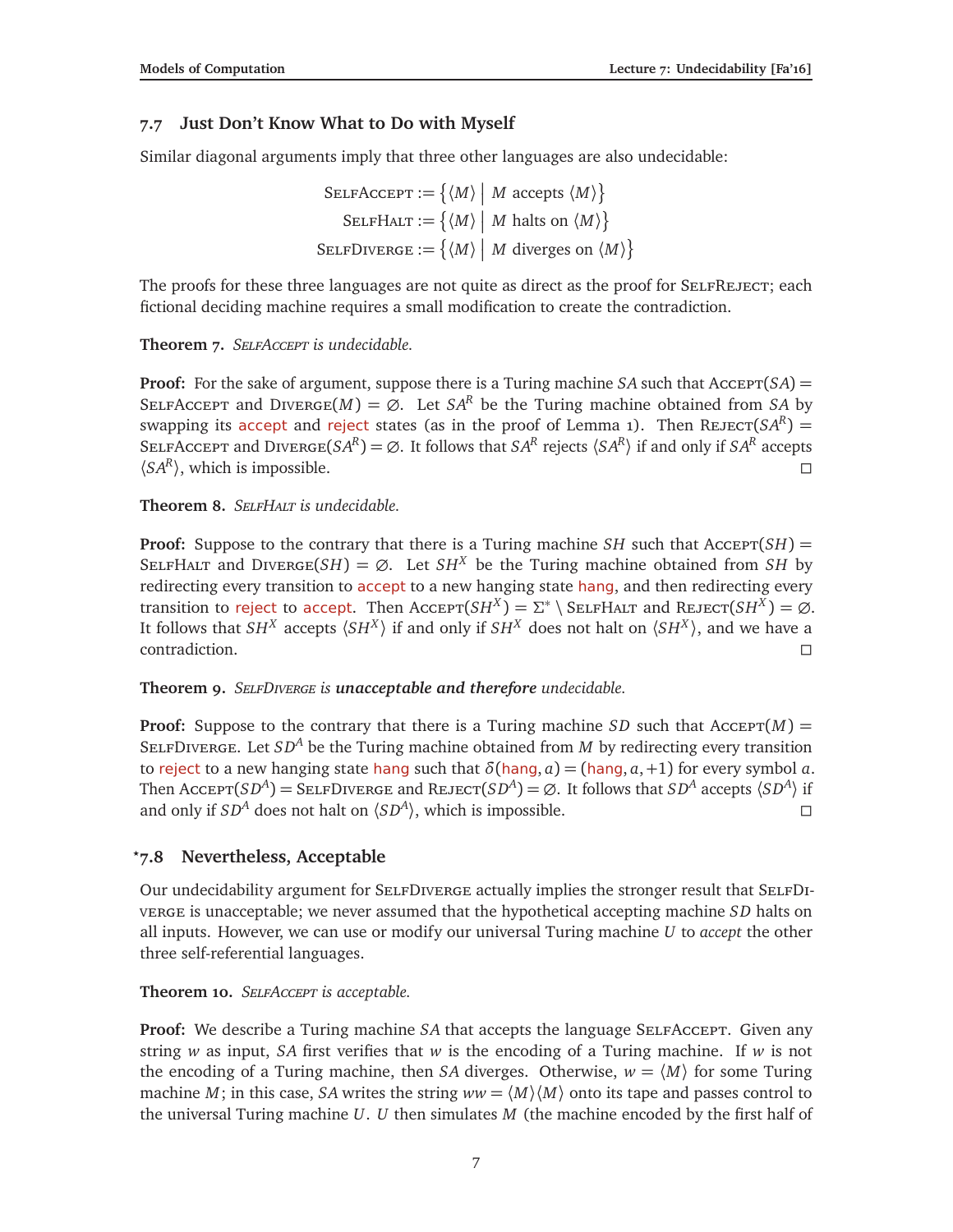# **7.7 Just Don't Know What to Do with Myself**

Similar diagonal arguments imply that three other languages are also undecidable:

$$
SELFACCEPT := \{ \langle M \rangle \mid M \text{ accepts } \langle M \rangle \}
$$

$$
SELFHALT := \{ \langle M \rangle \mid M \text{ halts on } \langle M \rangle \}
$$

$$
SELFDIVERGE := \{ \langle M \rangle \mid M \text{ diverges on } \langle M \rangle \}
$$

The proofs for these three languages are not quite as direct as the proof for SELFREJECT; each fictional deciding machine requires a small modification to create the contradiction.

### **Theorem 7.** *SelfAccept is undecidable.*

**Proof:** For the sake of argument, suppose there is a Turing machine *SA* such that  $\text{AccEPT}(SA)$  = SELFACCEPT and DIVERGE(*M*) =  $\emptyset$ . Let *SA<sup>R</sup>* be the Turing machine obtained from *SA* by swapping its accept and reject states (as in the proof of Lemma 1). Then  $REJECT(SA<sup>R</sup>) =$ SELFACCEPT and DIVERGE( $SA^R$ ) =  $\varnothing$ . It follows that  $SA^R$  rejects  $\langle SA^R \rangle$  if and only if  $SA^R$  accepts  $\langle SA^R \rangle$ , which is impossible.

**Theorem 8.** *SelfHalt is undecidable.*

**Proof:** Suppose to the contrary that there is a Turing machine *SH* such that  $\text{Accept}(SH)$  = SELFHALT and DIVERGE(*SH*) =  $\emptyset$ . Let *SH<sup>X</sup>* be the Turing machine obtained from *SH* by redirecting every transition to accept to a new hanging state hang, and then redirecting every transition to reject to accept. Then  $\text{ACCEPT}(SH^X) = \Sigma^* \setminus \text{SELFHALT}$  and  $\text{REJECT}(SH^X) = \emptyset$ . It follows that  $SH^X$  accepts  $\langle SH^X \rangle$  if and only if  $SH^X$  does not halt on  $\langle SH^X \rangle$ , and we have a contradiction.

**Theorem 9.** *SelfDiverge is unacceptable and therefore undecidable.*

**Proof:** Suppose to the contrary that there is a Turing machine *SD* such that  $ACCEPT(M) =$ SELFDIVERGE. Let  $SD<sup>A</sup>$  be the Turing machine obtained from *M* by redirecting every transition to reject to a new hanging state hang such that  $\delta$ (hang, *a*) = (hang, *a*, +1) for every symbol *a*. Then Accept( $SD^A$ ) = SelfDiverge and Reject( $SD^A$ ) =  $\varnothing$ . It follows that  $SD^A$  accepts  $\langle SD^A \rangle$  if and only if  $SD^A$  does not halt on  $\langle SD^A \rangle$ , which is impossible.

# **7.8 Nevertheless, Acceptable** *?*

Our undecidability argument for SELFDIVERGE actually implies the stronger result that SELFDIverge is unacceptable; we never assumed that the hypothetical accepting machine *SD* halts on all inputs. However, we can use or modify our universal Turing machine *U* to *accept* the other three self-referential languages.

**Theorem 10.** *SelfAccept is acceptable.*

**Proof:** We describe a Turing machine *SA* that accepts the language SelfAccept. Given any string *w* as input, *SA* first verifies that *w* is the encoding of a Turing machine. If *w* is not the encoding of a Turing machine, then *SA* diverges. Otherwise,  $w = \langle M \rangle$  for some Turing machine *M*; in this case, *SA* writes the string  $ww = \langle M \rangle \langle M \rangle$  onto its tape and passes control to the universal Turing machine *U*. *U* then simulates *M* (the machine encoded by the first half of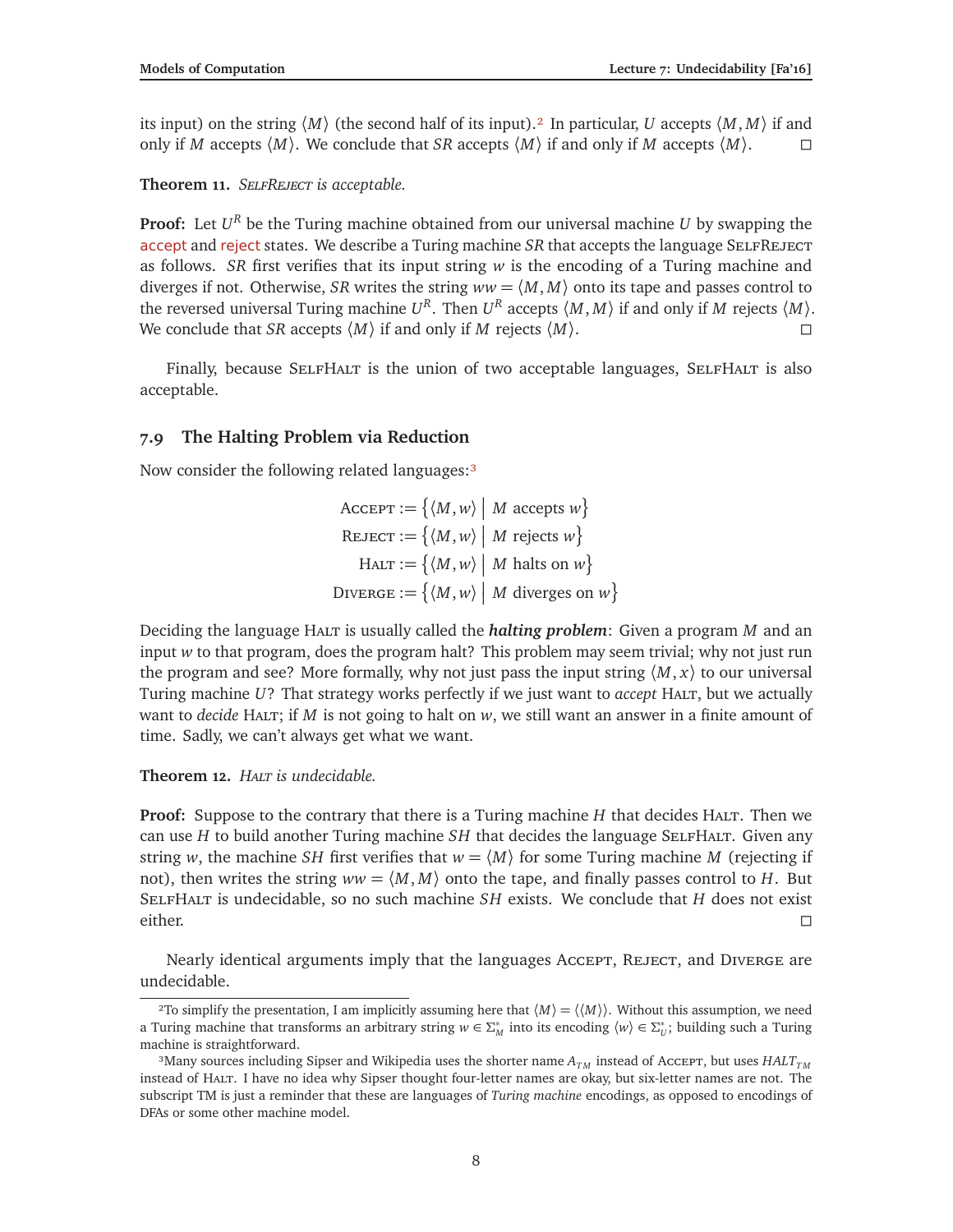its input) on the string  $\langle M \rangle$  (the second half of its input).<sup>2</sup> In particular, *U* accepts  $\langle M, M \rangle$  if and only if *M* accepts  $\langle M \rangle$ . We conclude that *SR* accepts  $\langle M \rangle$  if and only if *M* accepts  $\langle M \rangle$ .

**Theorem 11.** *SelfReject is acceptable.*

**Proof:** Let  $U^R$  be the Turing machine obtained from our universal machine  $U$  by swapping the accept and reject states. We describe a Turing machine *SR* that accepts the language SELFREJECT as follows. *SR* first verifies that its input string *w* is the encoding of a Turing machine and diverges if not. Otherwise, *SR* writes the string  $ww = \langle M, M \rangle$  onto its tape and passes control to the reversed universal Turing machine  $U^R$ . Then  $U^R$  accepts  $\langle M, M \rangle$  if and only if  $M$  rejects  $\langle M \rangle$ . We conclude that *SR* accepts  $\langle M \rangle$  if and only if *M* rejects  $\langle M \rangle$ .

Finally, because SELFHALT is the union of two acceptable languages, SELFHALT is also acceptable.

### **7.9 The Halting Problem via Reduction**

Now consider the following related languages:<sup>3</sup>

$$
Accept: = \{ \langle M, w \rangle \mid M \text{ accepts } w \}
$$
  
\n
$$
REJECT := \{ \langle M, w \rangle \mid M \text{ rejects } w \}
$$
  
\n
$$
HALT := \{ \langle M, w \rangle \mid M \text{ halts on } w \}
$$
  
\n
$$
DIVERGE := \{ \langle M, w \rangle \mid M \text{ diverges on } w \}
$$

Deciding the language HALT is usually called the *halting problem*: Given a program *M* and an input *w* to that program, does the program halt? This problem may seem trivial; why not just run the program and see? More formally, why not just pass the input string  $\langle M, x \rangle$  to our universal Turing machine *U*? That strategy works perfectly if we just want to *accept* Halt, but we actually want to *decide* HALT; if *M* is not going to halt on *w*, we still want an answer in a finite amount of time. Sadly, we can't always get what we want.

**Theorem 12.** *Halt is undecidable.*

**Proof:** Suppose to the contrary that there is a Turing machine *H* that decides HALT. Then we can use *H* to build another Turing machine *SH* that decides the language SELFHALT. Given any string *w*, the machine *SH* first verifies that  $w = \langle M \rangle$  for some Turing machine *M* (rejecting if not), then writes the string  $ww = \langle M, M \rangle$  onto the tape, and finally passes control to *H*. But SelfHalt is undecidable, so no such machine *SH* exists. We conclude that *H* does not exist either.

Nearly identical arguments imply that the languages Accept, Reject, and Diverge are undecidable.

<span id="page-7-0"></span><sup>&</sup>lt;sup>2</sup>To simplify the presentation, I am implicitly assuming here that  $\langle M \rangle = \langle \langle M \rangle \rangle$ . Without this assumption, we need a Turing machine that transforms an arbitrary string  $w \in \Sigma_M^*$  into its encoding  $\langle w \rangle \in \Sigma_U^*$ ; building such a Turing machine is straightforward.

<span id="page-7-1"></span><sup>&</sup>lt;sup>3</sup>Many sources including Sipser and Wikipedia uses the shorter name  $A_{TM}$  instead of Accepr, but uses  $HALT_{TM}$ instead of Halt. I have no idea why Sipser thought four-letter names are okay, but six-letter names are not. The subscript TM is just a reminder that these are languages of *Turing machine* encodings, as opposed to encodings of DFAs or some other machine model.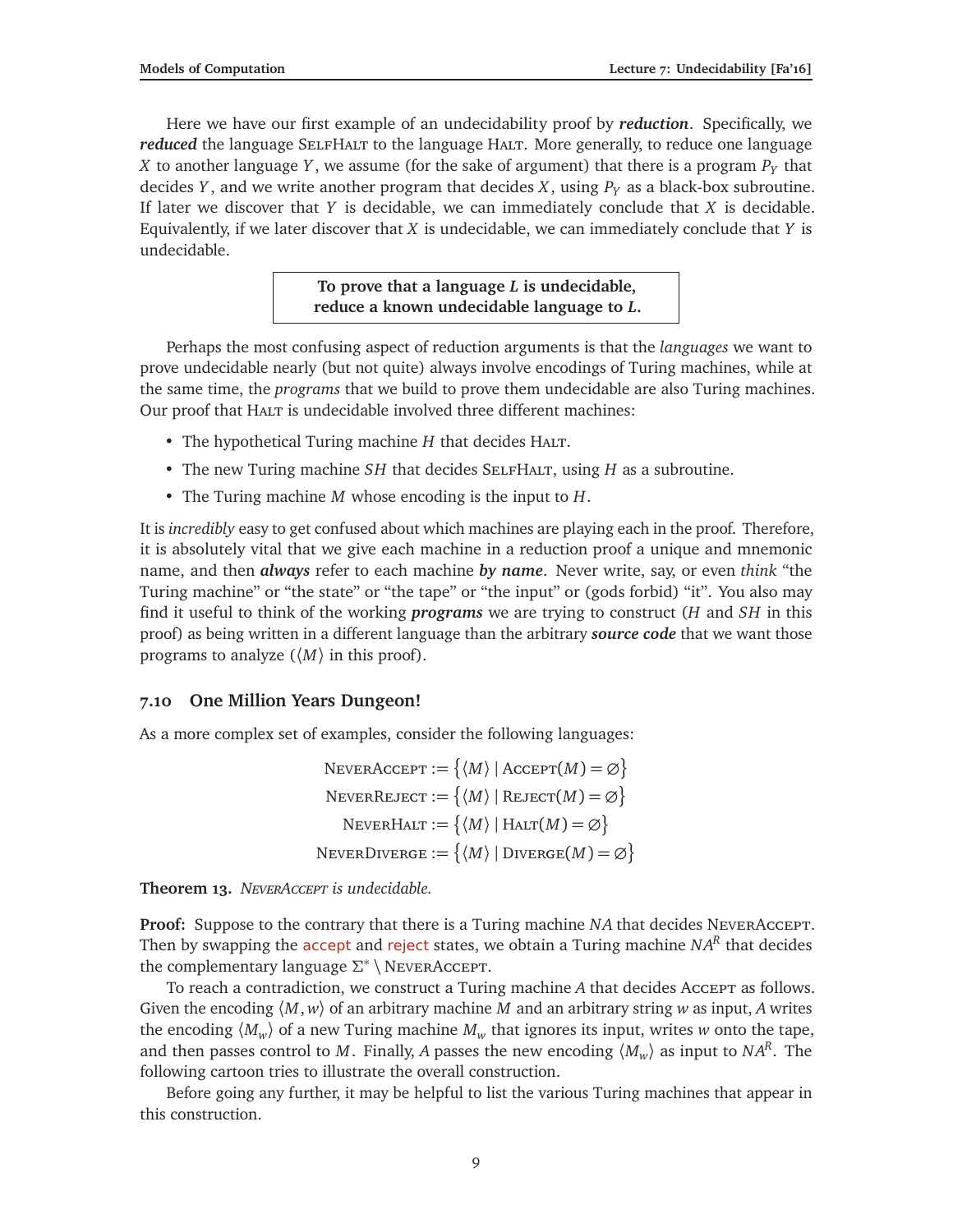Here we have our first example of an undecidability proof by *reduction*. Specifically, we reduced the language SELFHALT to the language HALT. More generally, to reduce one language  $X$  to another language  $Y$  , we assume (for the sake of argument) that there is a program  $P_Y$  that decides *Y*, and we write another program that decides *X*, using  $P_Y$  as a black-box subroutine. If later we discover that *Y* is decidable, we can immediately conclude that *X* is decidable. Equivalently, if we later discover that *X* is undecidable, we can immediately conclude that *Y* is undecidable.

> **To prove that a language** *L* **is undecidable, reduce a known undecidable language to** *L***.**

Perhaps the most confusing aspect of reduction arguments is that the *languages* we want to prove undecidable nearly (but not quite) always involve encodings of Turing machines, while at the same time, the *programs* that we build to prove them undecidable are also Turing machines. Our proof that HALT is undecidable involved three different machines:

- The hypothetical Turing machine *H* that decides HALT.
- The new Turing machine *SH* that decides SELFHALT, using *H* as a subroutine.
- The Turing machine *M* whose encoding is the input to *H*.

It is *incredibly* easy to get confused about which machines are playing each in the proof. Therefore, it is absolutely vital that we give each machine in a reduction proof a unique and mnemonic name, and then *always* refer to each machine *by name*. Never write, say, or even *think* "the Turing machine" or "the state" or "the tape" or "the input" or (gods forbid) "it". You also may find it useful to think of the working *programs* we are trying to construct (*H* and *SH* in this proof) as being written in a different language than the arbitrary *source code* that we want those programs to analyze  $(\langle M \rangle)$  in this proof).

#### **7.10 One Million Years Dungeon!**

As a more complex set of examples, consider the following languages:

```
\text{NeverAccer} \texttt{r} := \big\{ \langle M \rangle \mid \text{Accer} \texttt{r}(M) = \varnothing \big\}\text{NeverREJECT} := \big\{\langle M \rangle \mid \text{REJECT}(M) = \varnothing\big\}\operatorname{NeverHalt}:=\big\{\langle M\rangle\mid \operatorname{Halt}(M)=\varnothing\big\}\operatorname{NeverDiverge} := \big\{\langle M \rangle \mid \operatorname{Diverge}(M) = \varnothing\big\}
```
**Theorem 13.** *NeverAccept is undecidable.*

**Proof:** Suppose to the contrary that there is a Turing machine *NA* that decides NeverAccept. Then by swapping the accept and reject states, we obtain a Turing machine *NA<sup>R</sup>* that decides the complementary language Σ<sup>\*</sup> \ NEVERACCEPT.

To reach a contradiction, we construct a Turing machine *A* that decides Accept as follows. Given the encoding  $\langle M, w \rangle$  of an arbitrary machine *M* and an arbitrary string *w* as input, *A* writes the encoding  $\langle M_w \rangle$  of a new Turing machine  $M_w$  that ignores its input, writes *w* onto the tape, and then passes control to  $M$ . Finally,  $A$  passes the new encoding  $\langle M_w \rangle$  as input to  $NA^R$ . The following cartoon tries to illustrate the overall construction.

Before going any further, it may be helpful to list the various Turing machines that appear in this construction.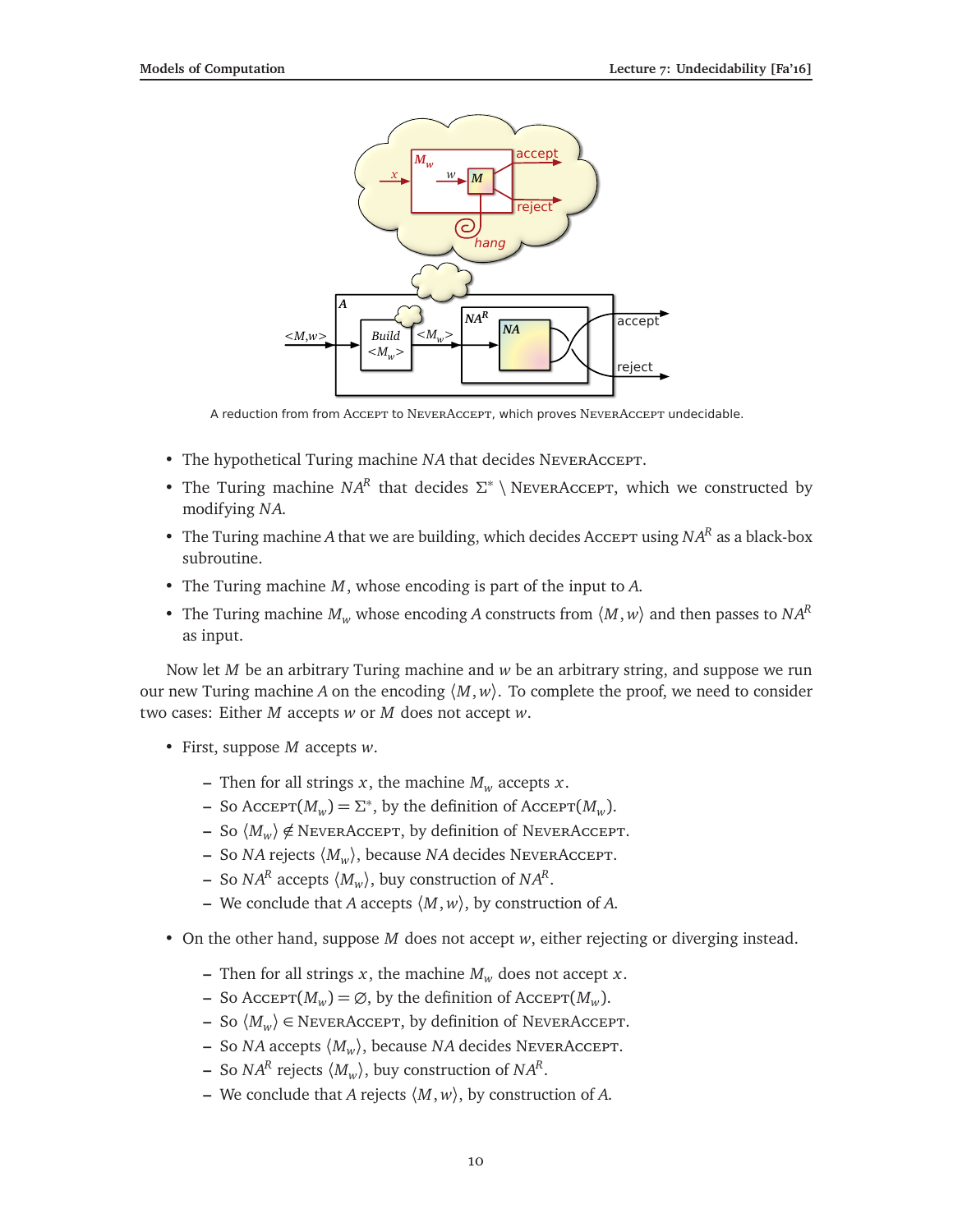

A reduction from from Accept to NeverAccept, which proves NeverAccept undecidable.

- The hypothetical Turing machine *NA* that decides NEVERACCEPT.
- The Turing machine *NA<sup>R</sup>* that decides  $\Sigma^* \setminus \text{NeverAccEPT}$ , which we constructed by modifying *NA*.
- The Turing machine A that we are building, which decides Accepr using  $NA<sup>R</sup>$  as a black-box subroutine.
- The Turing machine *M*, whose encoding is part of the input to *A*.
- The Turing machine  $M_w$  whose encoding A constructs from  $\langle M, w \rangle$  and then passes to  $NA^R$ as input.

Now let *M* be an arbitrary Turing machine and *w* be an arbitrary string, and suppose we run our new Turing machine *A* on the encoding  $\langle M, w \rangle$ . To complete the proof, we need to consider two cases: Either *M* accepts *w* or *M* does not accept *w*.

- First, suppose *M* accepts *w*.
	- **–** Then for all strings *x*, the machine  $M_w$  accepts *x*.
	- $-$  So Accept $(M_w) = \Sigma^*$ , by the definition of Accept $(M_w)$ .
	- **−** So  $\langle M_w \rangle$  ∉ NeverAccept, by definition of NeverAccept.
	- **–** So *NA* rejects 〈*Mw*〉, because *NA* decides NeverAccept.
	- **–** So *NA<sup>R</sup>* accepts 〈*Mw*〉, buy construction of *NA<sup>R</sup>* .
	- **–** We conclude that *A* accepts 〈*M*, *w*〉, by construction of *A*.
- On the other hand, suppose *M* does not accept *w*, either rejecting or diverging instead.
	- **–** Then for all strings  $x$ , the machine  $M_w$  does not accept  $x$ .
	- $-$  So Accept $(M_w) = \emptyset$ , by the definition of Accept $(M_w)$ .
	- $-$  So  $\langle M_w \rangle$  ∈ NeverAccept, by definition of NeverAccept.
	- **–** So *NA* accepts 〈*Mw*〉, because *NA* decides NeverAccept.
	- **–** So *NA<sup>R</sup>* rejects 〈*Mw*〉, buy construction of *NA<sup>R</sup>* .
	- **–** We conclude that *A* rejects 〈*M*, *w*〉, by construction of *A*.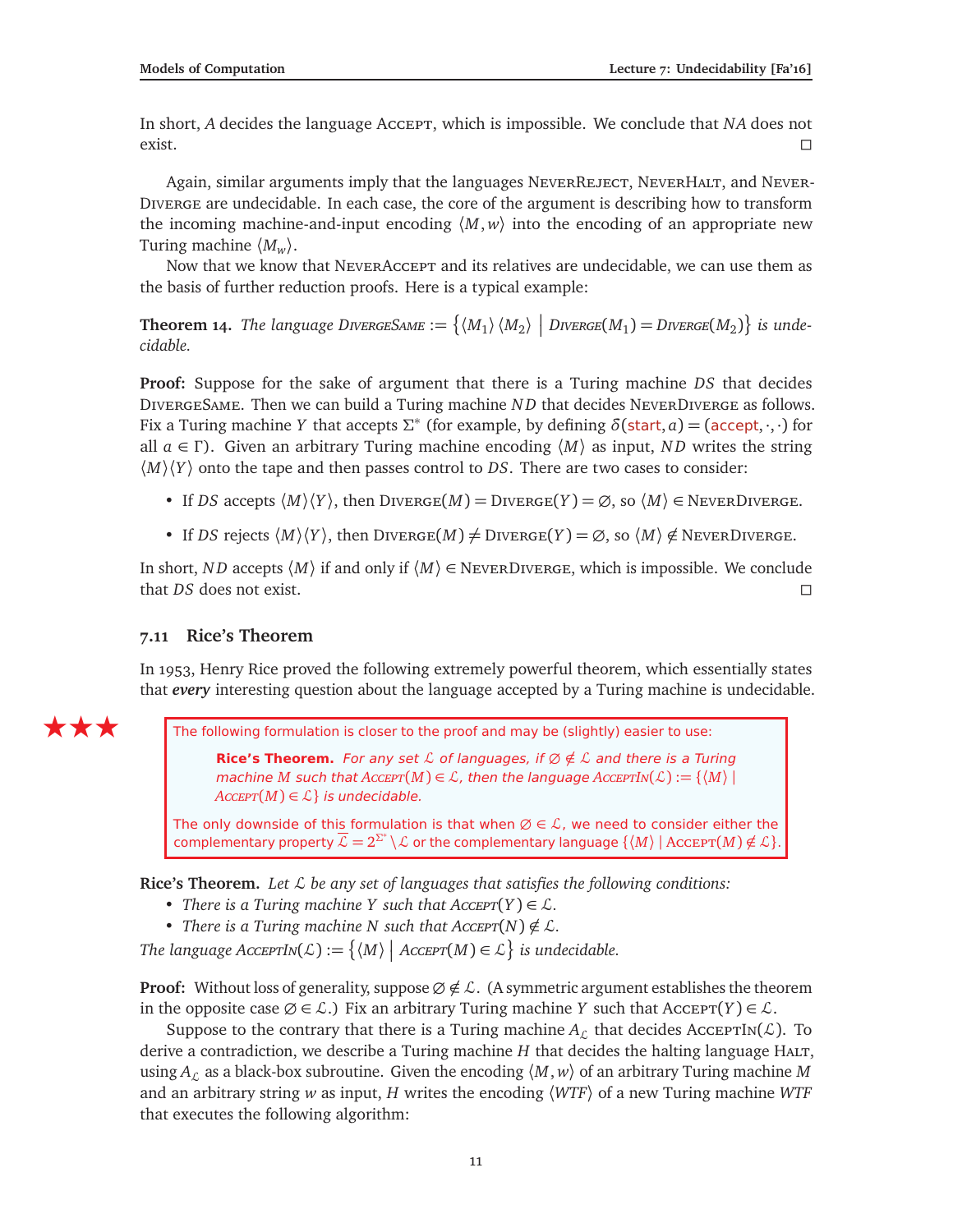In short, *A* decides the language Accept, which is impossible. We conclude that *NA* does not  $\Box$ 

Again, similar arguments imply that the languages NeverReject, NeverHalt, and Never-Diverge are undecidable. In each case, the core of the argument is describing how to transform the incoming machine-and-input encoding  $\langle M, w \rangle$  into the encoding of an appropriate new Turing machine 〈*Mw*〉.

Now that we know that NeverAccept and its relatives are undecidable, we can use them as the basis of further reduction proofs. Here is a typical example:

**Theorem 14.** The language  $D$ *IVERGESAME* :=  $\{(M_1) \ (M_2) \mid D$ *IVERGE* $(M_1) = D$ *IVERGE* $(M_2)$ } is unde*cidable.*

**Proof:** Suppose for the sake of argument that there is a Turing machine *DS* that decides DivergeSame. Then we can build a Turing machine *N D* that decides NeverDiverge as follows. Fix a Turing machine *Y* that accepts *Σ* ∗ (for example, by defining *δ*(start, *a*) = (accept,·,·) for all  $a \in \Gamma$ ). Given an arbitrary Turing machine encoding  $\langle M \rangle$  as input, *ND* writes the string  $\langle M \rangle \langle Y \rangle$  onto the tape and then passes control to *DS*. There are two cases to consider:

- If *DS* accepts  $\langle M \rangle \langle Y \rangle$ , then DIVERGE(*M*) = DIVERGE(*Y*) =  $\emptyset$ , so  $\langle M \rangle \in$  NEVERDIVERGE.
- If *DS* rejects  $\langle M \rangle \langle Y \rangle$ , then DIVERGE(*M*)  $\neq$  DIVERGE(*Y*) =  $\emptyset$ , so  $\langle M \rangle \notin$  NEVERDIVERGE.

In short, *ND* accepts  $\langle M \rangle$  if and only if  $\langle M \rangle \in$  NeverDIVERGE, which is impossible. We conclude that *DS* does not exist.

#### **7.11 Rice's Theorem**

In 1953, Henry Rice proved the following extremely powerful theorem, which essentially states that *every* interesting question about the language accepted by a Turing machine is undecidable.

The following formulation is closer to the proof and may be (slightly) easier to use:

**Rice's Theorem.** For any set  $\mathcal L$  of languages, if  $\emptyset \notin \mathcal L$  and there is a Turing  $m$ achine *M* such that  $AccEPT(M) \in \mathcal{L}$ , then the language  $AccEPTN(\mathcal{L}) := \{ \langle M \rangle \mid$  $ACCEPT(M) \in \mathcal{L}$  is undecidable.

The only downside of this formulation is that when  $\emptyset \in \mathcal{L}$ , we need to consider either the  $\textsf{complementary property } \overline{\mathcal{L}} = 2^{\Sigma^*}\setminus \mathcal{L}$  or the complementary language  $\{\langle M\rangle\mid \text{AccEPT}(M)\notin \mathcal{L}\}.$ 

**Rice's Theorem.** Let  $\mathcal{L}$  be any set of languages that satisfies the following conditions:

- *There is a Turing machine Y such that*  $ACCEPT(Y) \in \mathcal{L}$ *.*
- *There is a Turing machine N such that*  $AccEPT(N) \notin \mathcal{L}$ .

The language  $\text{AccEPTIN}(\mathcal{L}) := \{ \langle M \rangle \mid \text{AccEPT}(M) \in \mathcal{L} \}$  is undecidable.

**Proof:** Without loss of generality, suppose  $\emptyset \notin \mathcal{L}$ . (A symmetric argument establishes the theorem in the opposite case  $\emptyset \in \mathcal{L}$ .) Fix an arbitrary Turing machine *Y* such that  $\text{Accept}(Y) \in \mathcal{L}$ .

Suppose to the contrary that there is a Turing machine  $A_{\mathcal{L}}$  that decides AcceptIn( $\mathcal{L}$ ). To derive a contradiction, we describe a Turing machine *H* that decides the halting language HALT, using  $A_L$  as a black-box subroutine. Given the encoding  $\langle M, w \rangle$  of an arbitrary Turing machine M and an arbitrary string *w* as input, *H* writes the encoding 〈*WTF*〉 of a new Turing machine *WTF* that executes the following algorithm: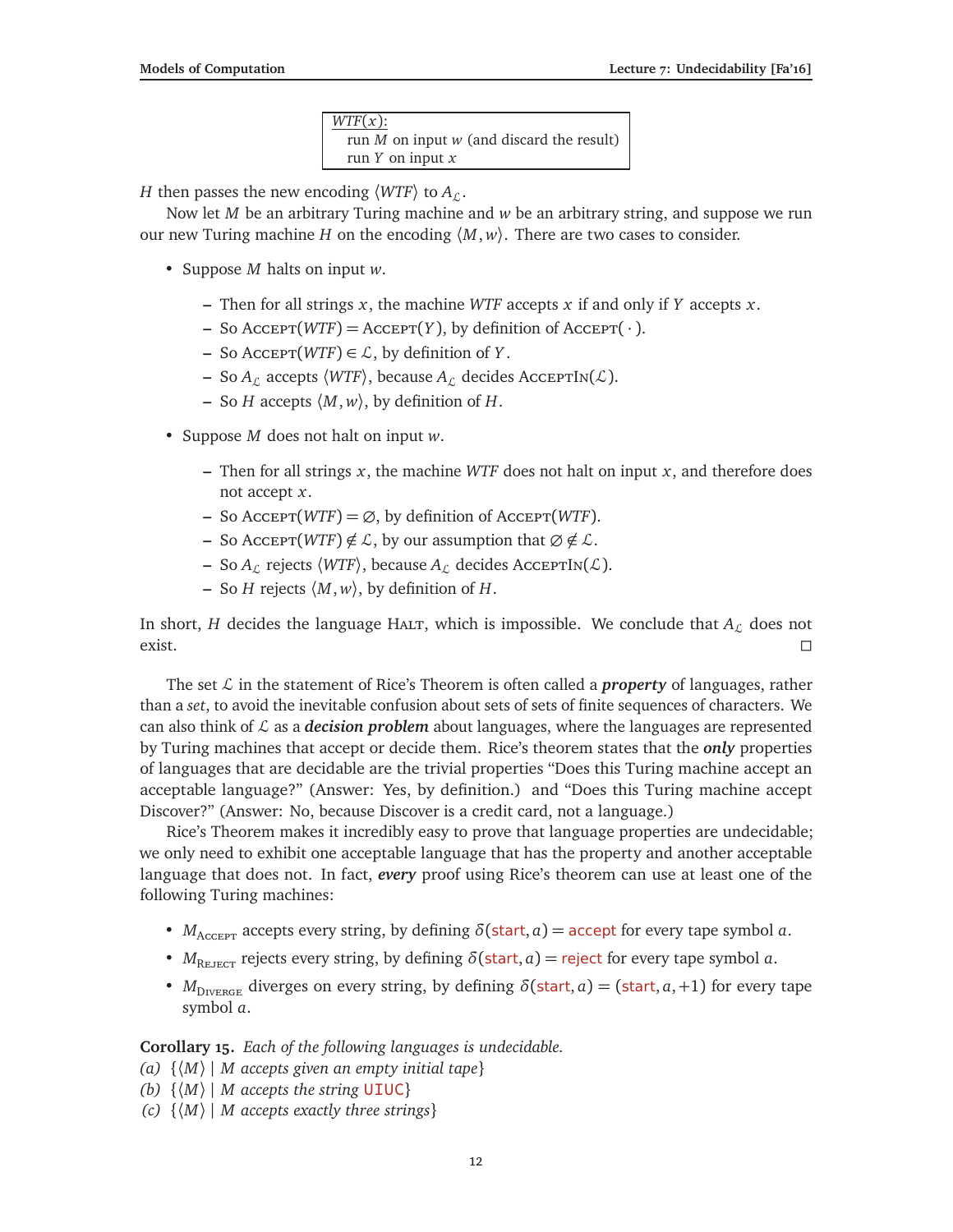*WTF*(*x*): run *M* on input *w* (and discard the result) run *Y* on input *x*

*H* then passes the new encoding  $\langle WTF \rangle$  to  $A_L$ .

Now let *M* be an arbitrary Turing machine and *w* be an arbitrary string, and suppose we run our new Turing machine *H* on the encoding  $\langle M, w \rangle$ . There are two cases to consider.

- Suppose *M* halts on input *w*.
	- **–** Then for all strings *x*, the machine *WTF* accepts *x* if and only if *Y* accepts *x*.
	- $\sim$  So Accept(*WTF*) = Accept(*Y*), by definition of Accept( $\cdot$ ).
	- **–** So Accept(*WTF*) ∈ L, by definition of *Y* .
	- **–** So  $A_L$  accepts  $\langle WTF \rangle$ , because  $A_L$  decides AcceptIn( $\mathcal{L}$ ).
	- **–** So *H* accepts 〈*M*, *w*〉, by definition of *H*.
- Suppose *M* does not halt on input *w*.
	- **–** Then for all strings *x*, the machine *WTF* does not halt on input *x*, and therefore does not accept *x*.
	- $-$  So Accept(*WTF*) =  $\varnothing$ , by definition of Accept(*WTF*).
	- **–** So Acceptr(*WTF*)  $\notin \mathcal{L}$ , by our assumption that  $\emptyset \notin \mathcal{L}$ .
	- **–** So  $A_L$  rejects  $\langle WTF \rangle$ , because  $A_L$  decides AcceptIn( $\mathcal{L}$ ).
	- **–** So *H* rejects 〈*M*, *w*〉, by definition of *H*.

In short, *H* decides the language HALT, which is impossible. We conclude that  $A_{\mathcal{L}}$  does not  $\Box$ 

The set  $\mathcal L$  in the statement of Rice's Theorem is often called a *property* of languages, rather than a *set*, to avoid the inevitable confusion about sets of sets of finite sequences of characters. We can also think of  $\mathcal L$  as a *decision problem* about languages, where the languages are represented by Turing machines that accept or decide them. Rice's theorem states that the *only* properties of languages that are decidable are the trivial properties "Does this Turing machine accept an acceptable language?" (Answer: Yes, by definition.) and "Does this Turing machine accept Discover?" (Answer: No, because Discover is a credit card, not a language.)

Rice's Theorem makes it incredibly easy to prove that language properties are undecidable; we only need to exhibit one acceptable language that has the property and another acceptable language that does not. In fact, *every* proof using Rice's theorem can use at least one of the following Turing machines:

- $M_{\text{AccEPT}}$  accepts every string, by defining  $\delta(\text{start}, a) = \text{accept}$  for every tape symbol *a*.
- $M_{\text{Rexper}}$  rejects every string, by defining  $\delta(\text{start}, a)$  = reject for every tape symbol *a*.
- $M_{\text{DIVERGE}}$  diverges on every string, by defining  $\delta(\text{start}, a) = (\text{start}, a, +1)$  for every tape symbol *a*.

**Corollary 15.** *Each of the following languages is undecidable.*

- *(a)* {〈*M*〉 | *M accepts given an empty initial tape*}
- *(b)* {〈*M*〉 | *M accepts the string* UIUC}
- *(c)* {〈*M*〉 | *M accepts exactly three strings*}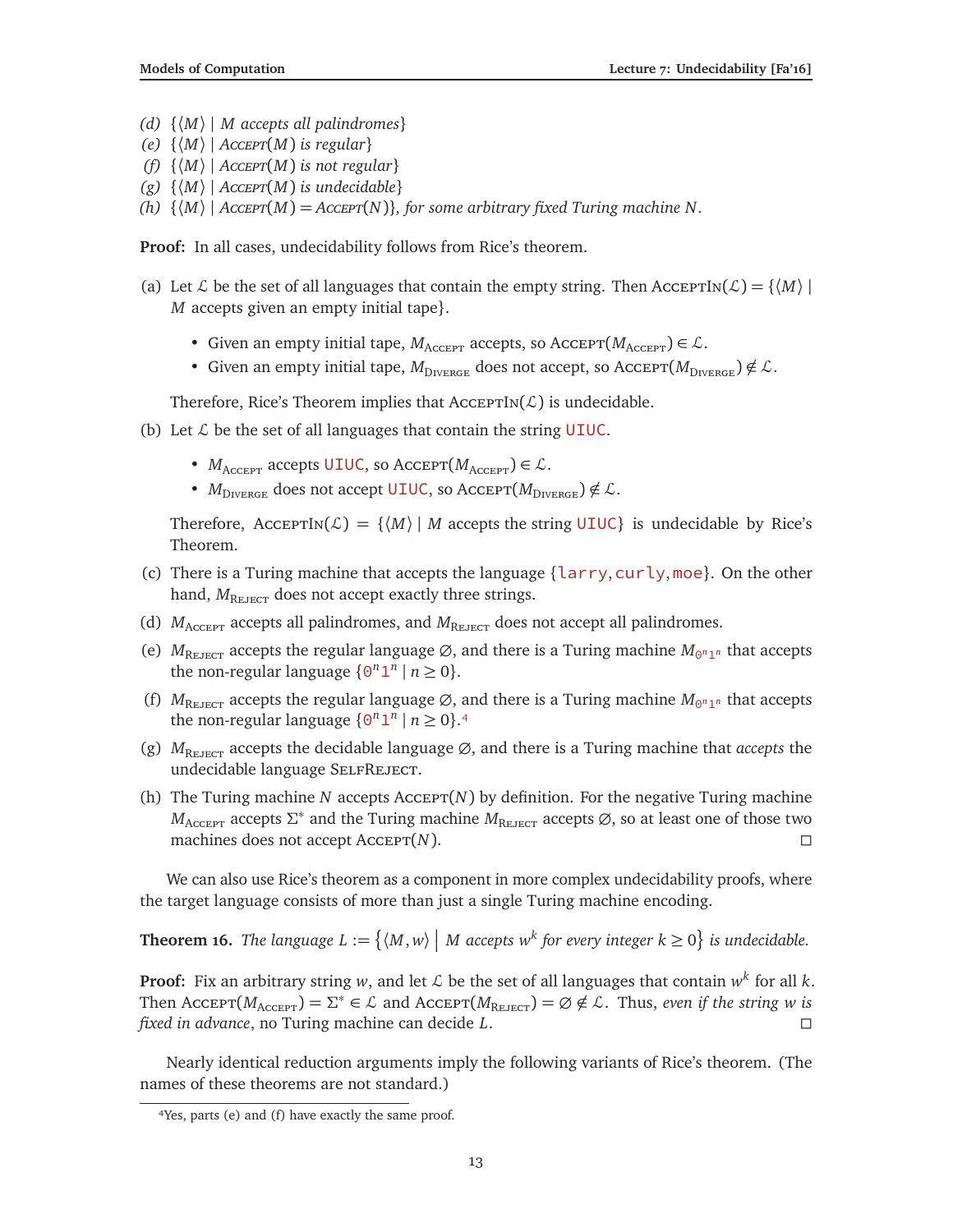- *(d)* {〈*M*〉 | *M accepts all palindromes*}
- $(e)$   $\{\langle M \rangle |$  *Accept*(*M*) *is regular*}
- $(f) \{ \langle M \rangle \mid AccEPT(M) \text{ is not regular} \}$
- $(g) \{ \langle M \rangle \mid AccEPT(M) \text{ is undecidable} \}$
- *(h)*  $\{ \langle M \rangle \mid AccEPT(M) = AccEPT(N) \}$ , for some arbitrary fixed Turing machine N.

**Proof:** In all cases, undecidability follows from Rice's theorem.

- (a) Let L be the set of all languages that contain the empty string. Then AcceptIn( $\mathcal{L}$ ) = { $\langle M \rangle$  | *M* accepts given an empty initial tape}.
	- Given an empty initial tape,  $M_{\text{Accept}}$  accepts, so  $\text{Accept}(M_{\text{Accept}}) \in \mathcal{L}$ .
	- Given an empty initial tape,  $M_{\text{DIVERGE}}$  does not accept, so Accept( $M_{\text{DIVERGE}}$ )  $\notin \mathcal{L}$ .

Therefore, Rice's Theorem implies that  $\text{AccEPTIN}(\mathcal{L})$  is undecidable.

- (b) Let  $\mathcal L$  be the set of all languages that contain the string UIUC.
	- $M_{\text{AccEPT}}$  accepts UIUC, so Accept( $M_{\text{AccEPT}}$ )  $\in \mathcal{L}$ .
	- *M*<sub>DIVERGE</sub> does not accept UIUC, so Accept( $M_{\text{DIVERGE}}$ ) $\notin \mathcal{L}$ .

Therefore, AcceptIn( $\mathcal{L}$ ) = { $\langle M \rangle$  | *M* accepts the string UIUC} is undecidable by Rice's Theorem.

- (c) There is a Turing machine that accepts the language  $\{larry,curly,mod\}$ . On the other hand,  $M_{\text{RERETC}}$  does not accept exactly three strings.
- (d)  $M_{\text{Accept}}$  accepts all palindromes, and  $M_{\text{REJECT}}$  does not accept all palindromes.
- (e)  $M_{REJECT}$  accepts the regular language  $\varnothing$ , and there is a Turing machine  $M_{\Theta^n 1^n}$  that accepts the non-regular language  $\{0^n 1^n \mid n \geq 0\}.$
- (f)  $M_{\text{REJECT}}$  accepts the regular language  $\varnothing$ , and there is a Turing machine  $M_{\theta^n1^n}$  that accepts the non-regular language  $\{0^n 1^n \mid n \geq 0\}$ .<sup>4</sup>
- (g)  $M_{\text{R}}_{\text{R}}$ <sub>REJECT</sub> accepts the decidable language  $\varnothing$ , and there is a Turing machine that *accepts* the undecidable language SELFREJECT.
- (h) The Turing machine *N* accepts Accept(*N*) by definition. For the negative Turing machine *M*<sub>AccEPT</sub> accepts Σ<sup>\*</sup> and the Turing machine *M*<sub>REJECT</sub> accepts ∅, so at least one of those two machines does not accept  $\text{Accept}(\mathbb{N})$ .

We can also use Rice's theorem as a component in more complex undecidability proofs, where the target language consists of more than just a single Turing machine encoding.

**Theorem 16.** The language  $L := \{(M, w) \mid M \text{ accepts } w^k \text{ for every integer } k \ge 0\}$  is undecidable.

**Proof:** Fix an arbitrary string *w*, and let  $\mathcal L$  be the set of all languages that contain  $w^k$  for all  $k$ . Then Accept $(M_{\text{AccEPT}}) = \Sigma^* \in \mathcal{L}$  and Accept $(M_{\text{REJECT}}) = \emptyset \notin \mathcal{L}$ . Thus, *even if the string w is fixed in advance*, no Turing machine can decide *L*.

Nearly identical reduction arguments imply the following variants of Rice's theorem. (The names of these theorems are not standard.)

<span id="page-12-0"></span>⁴Yes, parts (e) and (f) have exactly the same proof.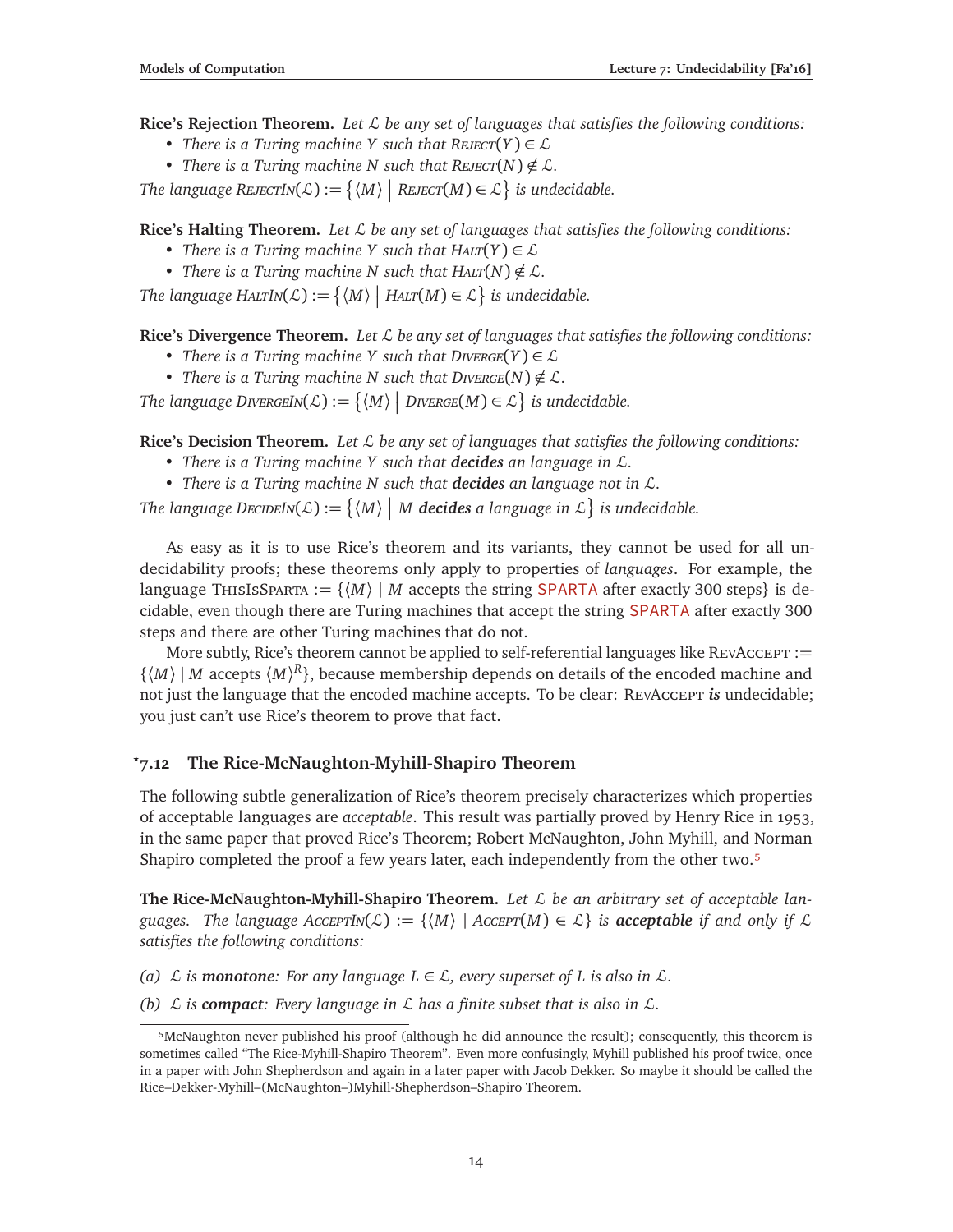**Rice's Rejection Theorem.** Let  $\mathcal{L}$  be any set of languages that satisfies the following conditions:

- *There is a Turing machine Y such that*  $REJECT(Y) \in \mathcal{L}$
- *There is a Turing machine N such that*  $REJECT(N) \notin \mathcal{L}$ *.*

The language  $\text{REJECTIN}(\mathcal{L}) := \{ \langle M \rangle \mid \text{REJECT}(M) \in \mathcal{L} \}$  is undecidable.

**Rice's Halting Theorem.** *Let* L *be any set of languages that satisfies the following conditions:*

- *There is a Turing machine Y such that*  $H_{ALT}(Y) \in \mathcal{L}$
- *There is a Turing machine N such that*  $H_{ALT}(N) \notin \mathcal{L}$ *.*

The language  $H$ ALTIN( $\mathcal{L}$ ) :=  $\{ \langle M \rangle \mid H$ ALT $(M) \in \mathcal{L} \}$  is undecidable.

**Rice's Divergence Theorem.** *Let* L *be any set of languages that satisfies the following conditions:*

- *There is a Turing machine Y such that*  $D \nvert_{\text{TVERGE}}(Y) \in \mathcal{L}$
- *There is a Turing machine N such that*  $D \nvert \text{ } D \text{ } E(N) \notin \mathcal{L}$ .

The language  $D{\rm \scriptscriptstyle I}$ *DivergeIn*( $\mathcal{L}$ ) :=  $\{ \langle M \rangle \mid D{\rm \scriptscriptstyle I}$ *Verge*( $M$ )  $\in$   $\mathcal{L}$ } is undecidable.

**Rice's Decision Theorem.** Let  $\mathcal{L}$  be any set of languages that satisfies the following conditions:

- *• There is a Turing machine Y such that decides an language in* L*.*
- *• There is a Turing machine N such that decides an language not in* L*.*

The language  $D$ ECIDEIN( $\mathcal{L}$ ) :=  $\{ \langle M \rangle \mid M$  **decides** a language in  $\mathcal{L} \}$  is undecidable.

As easy as it is to use Rice's theorem and its variants, they cannot be used for all undecidability proofs; these theorems only apply to properties of *languages*. For example, the language THISISSPARTA :=  $\{ \langle M \rangle \mid M \text{ accepts the string SPARTA after exactly 300 steps} \}$  is decidable, even though there are Turing machines that accept the string SPARTA after exactly 300 steps and there are other Turing machines that do not.

More subtly, Rice's theorem cannot be applied to self-referential languages like REVACCEPT :=  $\{(M) | M \text{ accepts } (M)^R\}$ , because membership depends on details of the encoded machine and not just the language that the encoded machine accepts. To be clear: REVACCEPT *is* undecidable; you just can't use Rice's theorem to prove that fact.

#### *?***7.12 The Rice-McNaughton-Myhill-Shapiro Theorem**

The following subtle generalization of Rice's theorem precisely characterizes which properties of acceptable languages are *acceptable*. This result was partially proved by Henry Rice in 1953, in the same paper that proved Rice's Theorem; Robert McNaughton, John Myhill, and Norman Shapiro completed the proof a few years later, each independently from the other two.<sup>5</sup>

**The Rice-McNaughton-Myhill-Shapiro Theorem.** Let  $\mathcal{L}$  be an arbitrary set of acceptable lan*guages. The language*  $\text{Accept}(L) := \{ \langle M \rangle \mid \text{Accept}(M) \in \mathcal{L} \}$  *is acceptable if and only if*  $\mathcal{L}$ *satisfies the following conditions:*

*(a)*  $\mathcal{L}$  *is monotone: For any language*  $L \in \mathcal{L}$ *, every superset of*  $L$  *is also in*  $\mathcal{L}$ *.* 

*(b)*  $\mathcal L$  *is compact: Every language in*  $\mathcal L$  *has a finite subset that is also in*  $\mathcal L$ *.* 

<span id="page-13-0"></span>⁵McNaughton never published his proof (although he did announce the result); consequently, this theorem is sometimes called "The Rice-Myhill-Shapiro Theorem". Even more confusingly, Myhill published his proof twice, once in a paper with John Shepherdson and again in a later paper with Jacob Dekker. So maybe it should be called the Rice–Dekker-Myhill–(McNaughton–)Myhill-Shepherdson–Shapiro Theorem.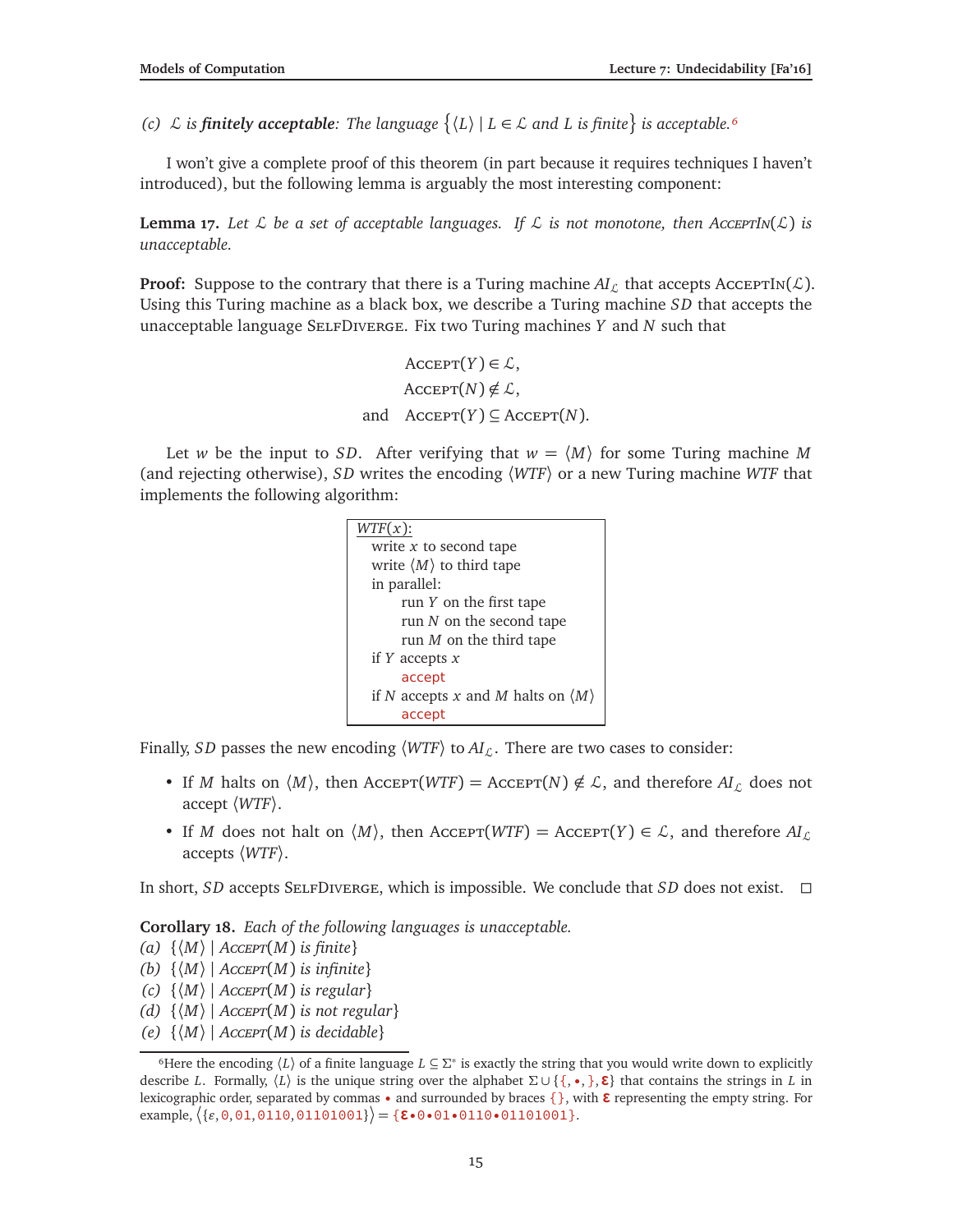*(c)*  $\mathcal{L}$  *is finitely acceptable: The language*  $\{ \langle L \rangle \mid L \in \mathcal{L} \text{ and } L \text{ is finite} \}$  *is acceptable.*<sup>6</sup>

I won't give a complete proof of this theorem (in part because it requires techniques I haven't introduced), but the following lemma is arguably the most interesting component:

**Lemma 17.** Let  $\mathcal{L}$  be a set of acceptable languages. If  $\mathcal{L}$  is not monotone, then  $\text{AccEPTIN}(\mathcal{L})$  is *unacceptable.*

**Proof:** Suppose to the contrary that there is a Turing machine  $AI<sub>L</sub>$  that accepts AcceptIn( $\mathcal{L}$ ). Using this Turing machine as a black box, we describe a Turing machine *SD* that accepts the unacceptable language SelfDiverge. Fix two Turing machines *Y* and *N* such that

```
ACCEPT(Y) \in \mathcal{L},
        ACCEPT(N) \notin \mathcal{L},
and \text{ACCEPT}(Y) \subseteq \text{ACCEPT}(N).
```
Let *w* be the input to *SD*. After verifying that  $w = \langle M \rangle$  for some Turing machine *M* (and rejecting otherwise), *SD* writes the encoding 〈*WTF*〉 or a new Turing machine *WTF* that implements the following algorithm:

| $WTF(x)$ :                                        |
|---------------------------------------------------|
| write $x$ to second tape                          |
| write $\langle M \rangle$ to third tape           |
| in parallel:                                      |
| run Y on the first tape                           |
| run $N$ on the second tape                        |
| run $M$ on the third tape                         |
| if Y accepts $x$                                  |
| accept                                            |
| if N accepts x and M halts on $\langle M \rangle$ |
| accept                                            |

Finally, *SD* passes the new encoding  $\langle WTF \rangle$  to  $AI_{\mathcal{L}}$ . There are two cases to consider:

- If *M* halts on  $\langle M \rangle$ , then Accept(*WTF*) = Accept(*N*)  $\notin \mathcal{L}$ , and therefore  $AI_{\mathcal{L}}$  does not accept 〈*WTF*〉.
- If *M* does not halt on  $\langle M \rangle$ , then Accept(*WTF*) = Accept(*Y*)  $\in \mathcal{L}$ , and therefore  $AI_L$ accepts 〈*WTF*〉.

In short, *SD* accepts SELFDIVERGE, which is impossible. We conclude that *SD* does not exist.  $\Box$ 

**Corollary 18.** *Each of the following languages is unacceptable.*

- $(a) \{ \langle M \rangle \mid AccEPT(M) \text{ is finite} \}$
- *(b)* {〈*M*〉 | *Accept*(*M*) *is infinite*}
- $(c) \{ \langle M \rangle \mid AccEPT(M) \text{ is regular} \}$
- $(d) \{ \langle M \rangle \mid AccEPT(M) \text{ is not regular} \}$
- $(e) \{ \langle M \rangle \mid AccEPT(M) \text{ is decidable} \}$

<span id="page-14-0"></span><sup>&</sup>lt;sup>6</sup>Here the encoding  $\langle L \rangle$  of a finite language  $L \subseteq \Sigma^*$  is exactly the string that you would write down to explicitly describe *L*. Formally,  $\langle L \rangle$  is the unique string over the alphabet  $\Sigma \cup \{\{\bullet,\bullet,\}\}\$  that contains the strings in *L* in lexicographic order, separated by commas • and surrounded by braces  $\{\}$ , with  $\epsilon$  representing the empty string. For example,  $\big\langle \{\varepsilon,0,01,0110,01101001\}\big\rangle = \{\texttt{E}\bullet 0\bullet 01\bullet 0110\bullet 01101001\}.$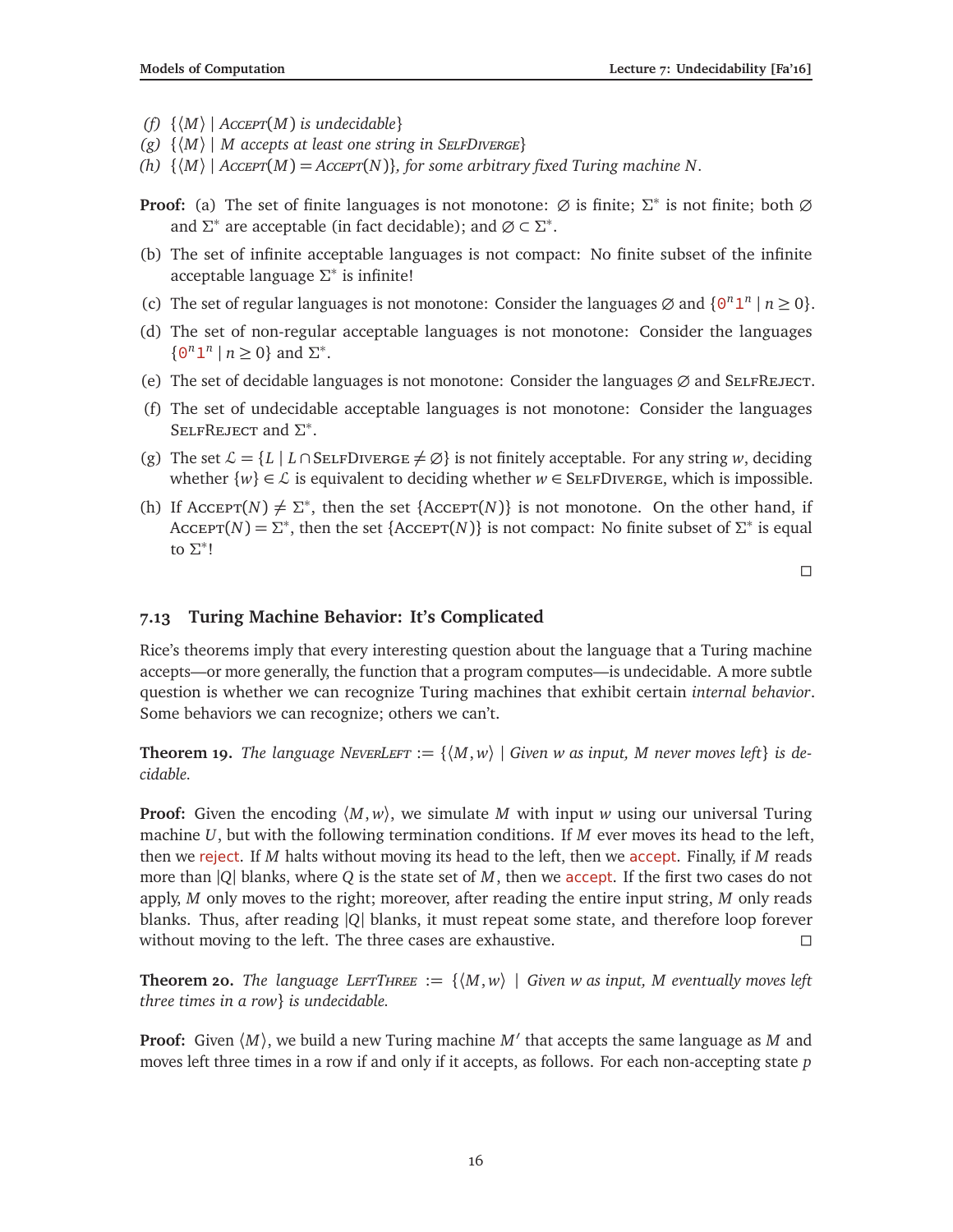- $(f) \{ \langle M \rangle \mid AccEPT(M) \text{ is undecidable} \}$
- *(g)* {〈*M*〉 | *M accepts at least one string in SelfDiverge*}
- *(h)*  $\{ \langle M \rangle \mid AccEPT(M) = AccEPT(N) \}$ , for some arbitrary fixed Turing machine N.
- **Proof:** (a) The set of finite languages is not monotone: ∅ is finite; Σ<sup>\*</sup> is not finite; both ∅ and *Σ*<sup>\*</sup> are acceptable (in fact decidable); and  $Ø ⊂ Σ$ <sup>\*</sup>.
- (b) The set of infinite acceptable languages is not compact: No finite subset of the infinite acceptable language *Σ* ∗ is infinite!
- (c) The set of regular languages is not monotone: Consider the languages  $\emptyset$  and  $\{0^n 1^n \mid n \ge 0\}$ .
- (d) The set of non-regular acceptable languages is not monotone: Consider the languages  $\{ \Theta^n \mathbf{1}^n \mid n \geq 0 \}$  and  $\Sigma^*$ .
- (e) The set of decidable languages is not monotone: Consider the languages  $\varnothing$  and SELFREJECT.
- (f) The set of undecidable acceptable languages is not monotone: Consider the languages SELFREJECT and Σ<sup>\*</sup>.
- (g) The set  $\mathcal{L} = \{L \mid L \cap \text{SELFDIVERGE} \neq \emptyset\}$  is not finitely acceptable. For any string *w*, deciding whether  $\{w\} \in \mathcal{L}$  is equivalent to deciding whether  $w \in$  SELFDIVERGE, which is impossible.
- (h) If  $\text{AccEPT}(N) \neq \sum^*$ , then the set  $\{\text{AccEPT}(N)\}\$ is not monotone. On the other hand, if  $\text{ACCEPT}(N) = \Sigma^*$ , then the set  $\{\text{ACCEPT}(N)\}\$  is not compact: No finite subset of  $\Sigma^*$  is equal to Σ<sup>\*</sup>!

 $\Box$ 

#### **7.13 Turing Machine Behavior: It's Complicated**

Rice's theorems imply that every interesting question about the language that a Turing machine accepts—or more generally, the function that a program computes—is undecidable. A more subtle question is whether we can recognize Turing machines that exhibit certain *internal behavior*. Some behaviors we can recognize; others we can't.

**Theorem 19.** *The language NEVERLEFT* :=  $\{ \langle M, w \rangle \mid Given \text{ } w \text{ } as \text{ } input, \text{ } M \text{ } never \text{ } moves \text{ } left} \}$  is de*cidable.*

**Proof:** Given the encoding  $\langle M, w \rangle$ , we simulate *M* with input *w* using our universal Turing machine *U*, but with the following termination conditions. If *M* ever moves its head to the left, then we reject. If *M* halts without moving its head to the left, then we accept. Finally, if *M* reads more than |*Q*| blanks, where *Q* is the state set of *M*, then we accept. If the first two cases do not apply, *M* only moves to the right; moreover, after reading the entire input string, *M* only reads blanks. Thus, after reading |*Q*| blanks, it must repeat some state, and therefore loop forever without moving to the left. The three cases are exhaustive.  $\Box$ 

**Theorem 20.** *The language LEFTTHREE* :=  $\{M, w\}$  | *Given w* as input, *M eventually moves left three times in a row*} *is undecidable.*

**Proof:** Given  $\langle M \rangle$ , we build a new Turing machine  $M'$  that accepts the same language as *M* and moves left three times in a row if and only if it accepts, as follows. For each non-accepting state *p*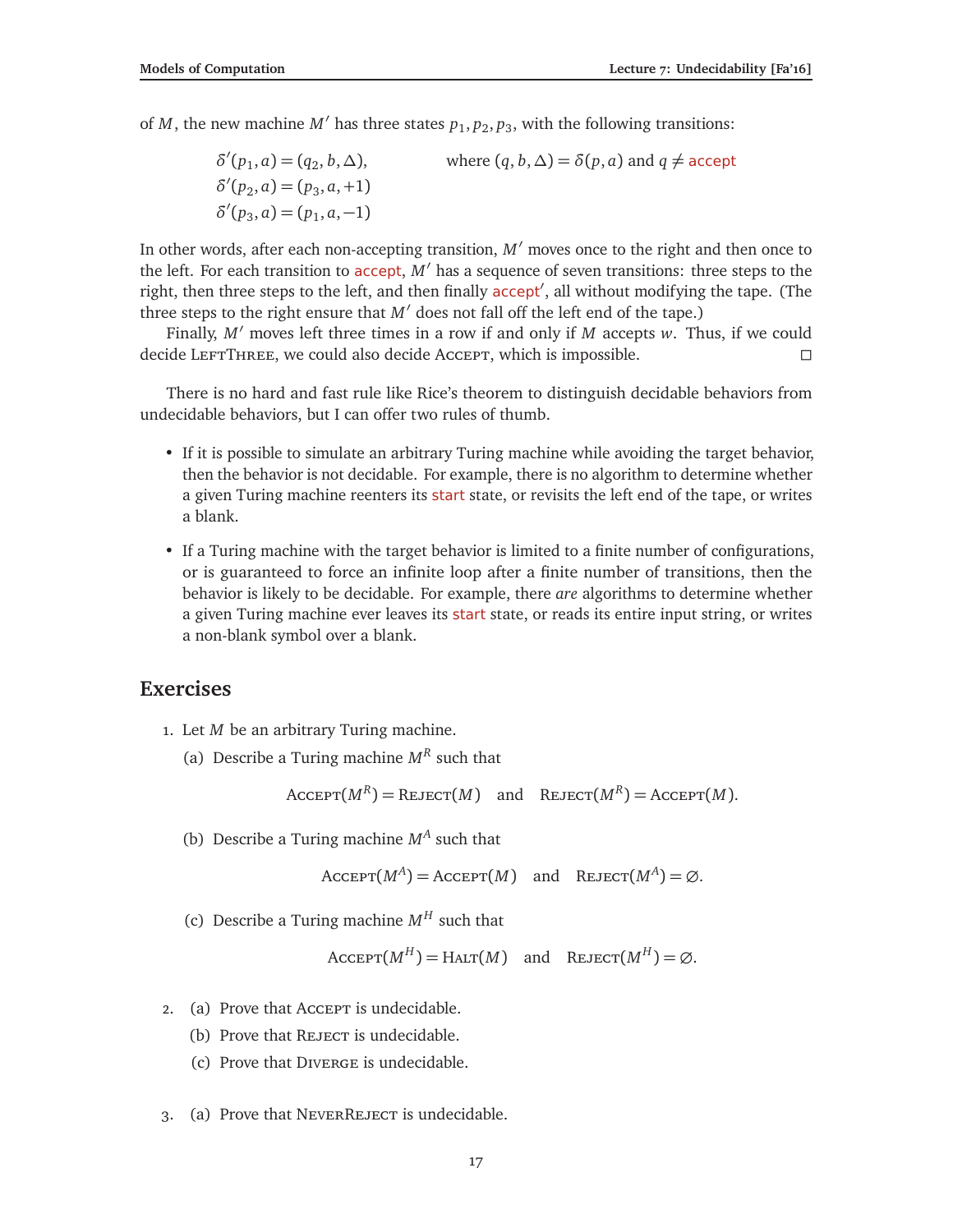of *M*, the new machine *M'* has three states  $p_1, p_2, p_3$ , with the following transitions:

 $\delta'(p_1, a) = (q_2)$ where  $(q, b, \Delta) = \delta(p, a)$  and  $q \neq$  accept  $\delta'(p_2, a) = (p_3, a, +1)$  $\delta'(p_3, a) = (p_1, a, -1)$ 

In other words, after each non-accepting transition,  $M'$  moves once to the right and then once to the left. For each transition to accept,  $M'$  has a sequence of seven transitions: three steps to the right, then three steps to the left, and then finally accept', all without modifying the tape. (The three steps to the right ensure that  $M'$  does not fall off the left end of the tape.)

Finally,  $M'$  moves left three times in a row if and only if *M* accepts *w*. Thus, if we could decide LEFTTHREE, we could also decide Accept, which is impossible.  $\Box$ 

There is no hard and fast rule like Rice's theorem to distinguish decidable behaviors from undecidable behaviors, but I can offer two rules of thumb.

- If it is possible to simulate an arbitrary Turing machine while avoiding the target behavior, then the behavior is not decidable. For example, there is no algorithm to determine whether a given Turing machine reenters its start state, or revisits the left end of the tape, or writes a blank.
- If a Turing machine with the target behavior is limited to a finite number of configurations, or is guaranteed to force an infinite loop after a finite number of transitions, then the behavior is likely to be decidable. For example, there *are* algorithms to determine whether a given Turing machine ever leaves its start state, or reads its entire input string, or writes a non-blank symbol over a blank.

# **Exercises**

- 1. Let *M* be an arbitrary Turing machine.
	- (a) Describe a Turing machine  $M^R$  such that

 $\text{ACCEPT}(M^R) = \text{REJECT}(M)$  and  $\text{REJECT}(M^R) = \text{ACCEPT}(M)$ .

(b) Describe a Turing machine *M<sup>A</sup>* such that

$$
ACCEPT(M^A) = ACCEPT(M) \text{ and } REJECT}(M^A) = \emptyset.
$$

(c) Describe a Turing machine  $M^H$  such that

$$
\text{Accept}(M^H) = \text{HAIT}(M) \quad \text{and} \quad \text{REJECT}(M^H) = \emptyset.
$$

- 2. (a) Prove that Accept is undecidable.
	- (b) Prove that REJECT is undecidable.
	- (c) Prove that Diverge is undecidable.
- 3. (a) Prove that NEVERREJECT is undecidable.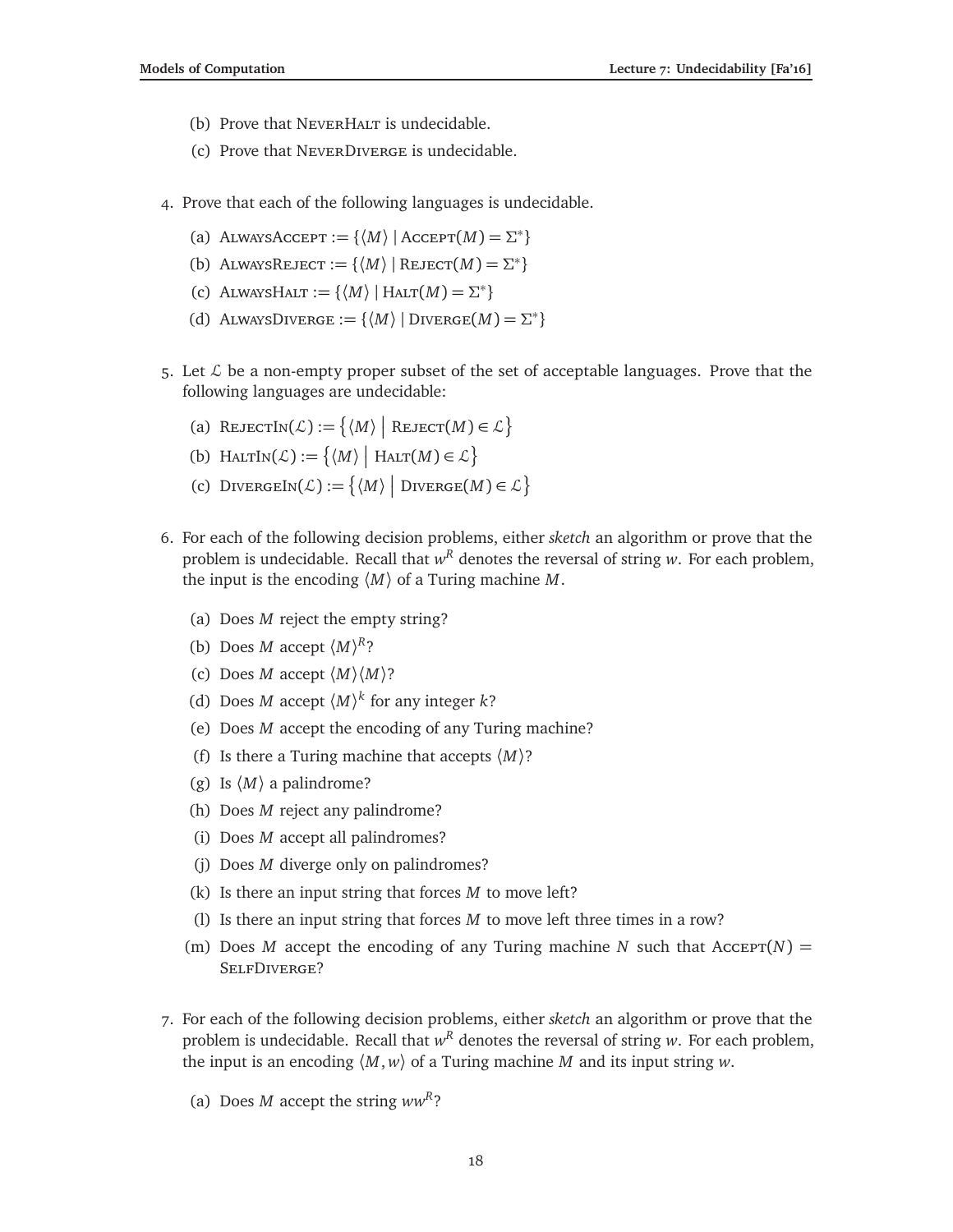- (b) Prove that NEVERHALT is undecidable.
- (c) Prove that NeverDiverge is undecidable.
- 4. Prove that each of the following languages is undecidable.
	- (a) ALWAYSACCEPT :=  $\{ \langle M \rangle \mid \text{Accept}(M) = \Sigma^* \}$
	- (b) ALWAYSREJECT :=  $\{ \langle M \rangle \mid \text{REJECT}(M) = \Sigma^* \}$
	- (c) ALWAYSHALT :=  $\{ \langle M \rangle | \text{HALT}(M) = \Sigma^* \}$
	- (d) ALWAYSDIVERGE :=  $\{ \langle M \rangle \mid \text{DIVERGE}(M) = \Sigma^* \}$
- 5. Let  $\mathcal L$  be a non-empty proper subset of the set of acceptable languages. Prove that the following languages are undecidable:
	- (a) REJECTIN( $\mathcal{L}$ ) := { $\langle M \rangle$  | REJECT( $M$ )  $\in \mathcal{L}$ }
	- (b)  $\text{HALTN}(\mathcal{L}) := \{ \langle M \rangle \mid \text{HALT}(M) \in \mathcal{L} \}$
	- (c) DIVERGEIN $(\mathcal{L}) := \{ \langle M \rangle \mid \text{DIVERGE}(M) \in \mathcal{L} \}$
- 6. For each of the following decision problems, either *sketch* an algorithm or prove that the problem is undecidable. Recall that  $w<sup>R</sup>$  denotes the reversal of string *w*. For each problem, the input is the encoding  $\langle M \rangle$  of a Turing machine *M*.
	- (a) Does *M* reject the empty string?
	- (b) Does *M* accept  $\langle M \rangle^R$ ?
	- (c) Does *M* accept  $\langle M \rangle \langle M \rangle$ ?
	- (d) Does *M* accept  $\langle M \rangle^k$  for any integer *k*?
	- (e) Does *M* accept the encoding of any Turing machine?
	- (f) Is there a Turing machine that accepts 〈*M*〉?
	- (g) Is  $\langle M \rangle$  a palindrome?
	- (h) Does *M* reject any palindrome?
	- (i) Does *M* accept all palindromes?
	- (j) Does *M* diverge only on palindromes?
	- (k) Is there an input string that forces *M* to move left?
	- (l) Is there an input string that forces *M* to move left three times in a row?
	- (m) Does *M* accept the encoding of any Turing machine *N* such that  $ACCEPT(N) =$ SelfDiverge?
- 7. For each of the following decision problems, either *sketch* an algorithm or prove that the problem is undecidable. Recall that  $w<sup>R</sup>$  denotes the reversal of string *w*. For each problem, the input is an encoding  $\langle M, w \rangle$  of a Turing machine *M* and its input string *w*.
	- (a) Does *M* accept the string  $ww^R$ ?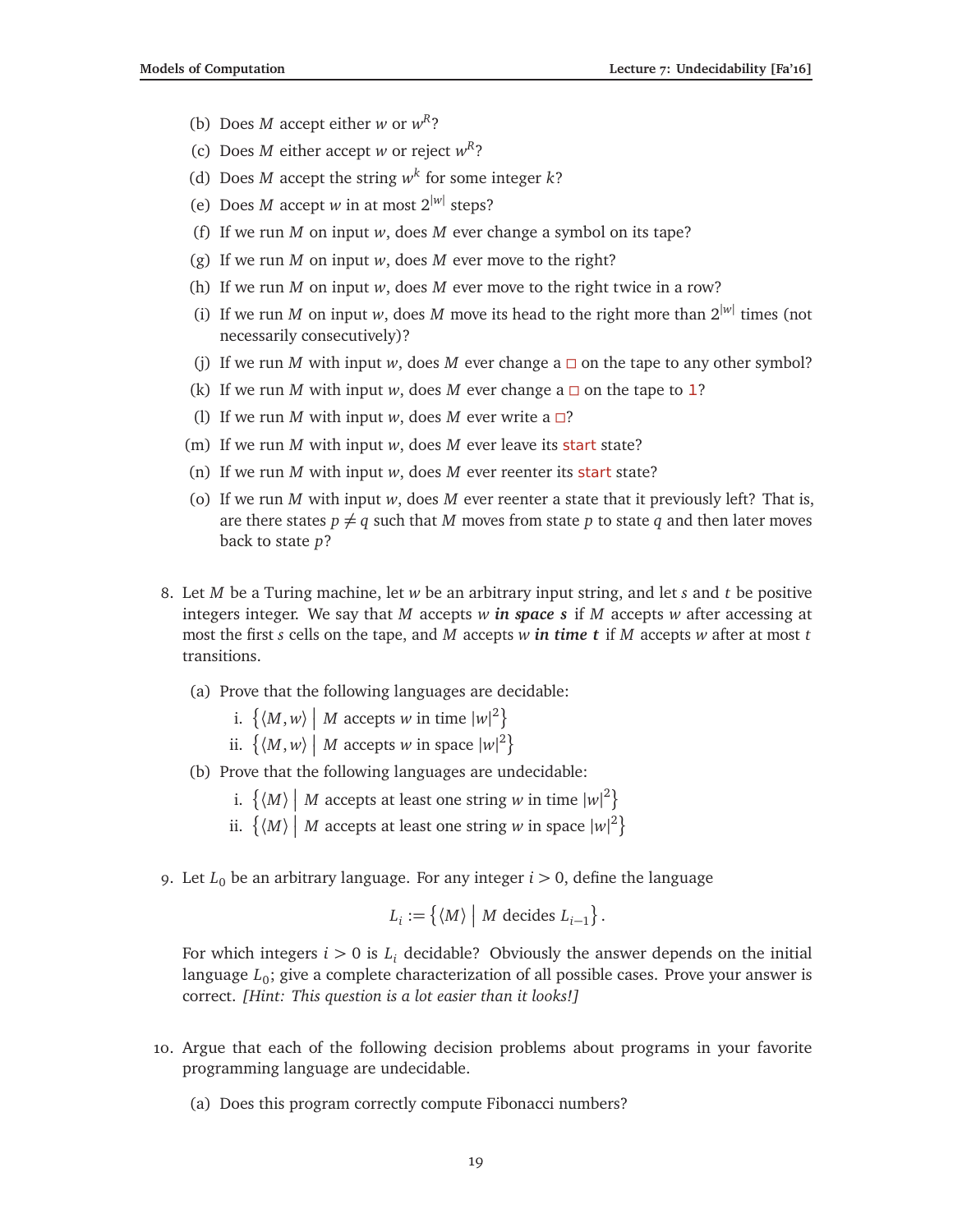- (b) Does *M* accept either *w* or  $w^R$ ?
- (c) Does *M* either accept *w* or reject  $w^R$ ?
- (d) Does *M* accept the string  $w<sup>k</sup>$  for some integer  $k$ ?
- (e) Does *M* accept *w* in at most  $2^{|w|}$  steps?
- (f) If we run *M* on input *w*, does *M* ever change a symbol on its tape?
- (g) If we run *M* on input *w*, does *M* ever move to the right?
- (h) If we run *M* on input *w*, does *M* ever move to the right twice in a row?
- (i) If we run *M* on input *w*, does *M* move its head to the right more than  $2^{|w|}$  times (not necessarily consecutively)?
- (j) If we run *M* with input *w*, does *M* ever change a  $\Box$  on the tape to any other symbol?
- (k) If we run *M* with input *w*, does *M* ever change a  $\Box$  on the tape to 1?
- (l) If we run *M* with input *w*, does *M* ever write a  $\Box$ ?
- (m) If we run *M* with input *w*, does *M* ever leave its start state?
- (n) If we run *M* with input *w*, does *M* ever reenter its start state?
- (o) If we run *M* with input *w*, does *M* ever reenter a state that it previously left? That is, are there states  $p \neq q$  such that *M* moves from state *p* to state *q* and then later moves back to state *p*?
- 8. Let *M* be a Turing machine, let *w* be an arbitrary input string, and let *s* and *t* be positive integers integer. We say that *M* accepts *w in space s* if *M* accepts *w* after accessing at most the first *s* cells on the tape, and *M* accepts *w in time t* if *M* accepts *w* after at most *t* transitions.
	- (a) Prove that the following languages are decidable:
		- i.  $\left\{ \langle M, w \rangle \mid M \text{ accepts } w \text{ in time } |w|^2 \right\}$
		- ii.  $\left\{ \langle M, w \rangle \mid M \text{ accepts } w \text{ in space } |w|^2 \right\}$
	- (b) Prove that the following languages are undecidable:
		- i.  $\left\{ \langle M \rangle \mid M \text{ accepts at least one string } w \text{ in time } |w|^2 \right\}$
		- ii.  $\left\{ \langle M \rangle \mid M \text{ accepts at least one string } w \text{ in space } |w|^2 \right\}$
- 9. Let  $L_0$  be an arbitrary language. For any integer  $i > 0$ , define the language

 $L_i := \{ \langle M \rangle \mid M \text{ decides } L_{i-1} \}.$ 

For which integers  $i > 0$  is  $L_i$  decidable? Obviously the answer depends on the initial language *L*<sup>0</sup> ; give a complete characterization of all possible cases. Prove your answer is correct. *[Hint: This question is a lot easier than it looks!]*

- 10. Argue that each of the following decision problems about programs in your favorite programming language are undecidable.
	- (a) Does this program correctly compute Fibonacci numbers?